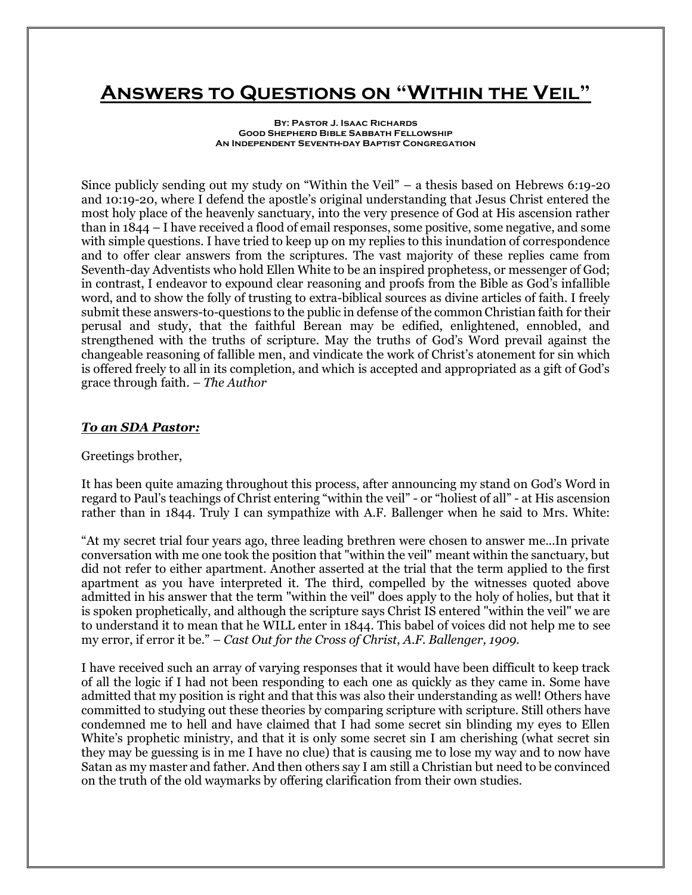# **Answers to Questions on "Within the Veil"**

**By: Pastor J. Isaac Richards Good Shepherd Bible Sabbath Fellowship An Independent Seventh-day Baptist Congregation**

Since publicly sending out my study on "Within the Veil" – a thesis based on Hebrews 6:19-20 and 10:19-20, where I defend the apostle's original understanding that Jesus Christ entered the most holy place of the heavenly sanctuary, into the very presence of God at His ascension rather than in 1844 – I have received a flood of email responses, some positive, some negative, and some with simple questions. I have tried to keep up on my replies to this inundation of correspondence and to offer clear answers from the scriptures. The vast majority of these replies came from Seventh-day Adventists who hold Ellen White to be an inspired prophetess, or messenger of God; in contrast, I endeavor to expound clear reasoning and proofs from the Bible as God's infallible word, and to show the folly of trusting to extra-biblical sources as divine articles of faith. I freely submit these answers-to-questions to the public in defense of the common Christian faith for their perusal and study, that the faithful Berean may be edified, enlightened, ennobled, and strengthened with the truths of scripture. May the truths of God's Word prevail against the changeable reasoning of fallible men, and vindicate the work of Christ's atonement for sin which is offered freely to all in its completion, and which is accepted and appropriated as a gift of God's grace through faith. *– The Author*

### *To an SDA Pastor:*

#### Greetings brother,

It has been quite amazing throughout this process, after announcing my stand on God's Word in regard to Paul's teachings of Christ entering "within the veil" - or "holiest of all" - at His ascension rather than in 1844. Truly I can sympathize with A.F. Ballenger when he said to Mrs. White:

"At my secret trial four years ago, three leading brethren were chosen to answer me...In private conversation with me one took the position that "within the veil" meant within the sanctuary, but did not refer to either apartment. Another asserted at the trial that the term applied to the first apartment as you have interpreted it. The third, compelled by the witnesses quoted above admitted in his answer that the term "within the veil" does apply to the holy of holies, but that it is spoken prophetically, and although the scripture says Christ IS entered "within the veil" we are to understand it to mean that he WILL enter in 1844. This babel of voices did not help me to see my error, if error it be." – *Cast Out for the Cross of Christ, A.F. Ballenger, 1909.*

I have received such an array of varying responses that it would have been difficult to keep track of all the logic if I had not been responding to each one as quickly as they came in. Some have admitted that my position is right and that this was also their understanding as well! Others have committed to studying out these theories by comparing scripture with scripture. Still others have condemned me to hell and have claimed that I had some secret sin blinding my eyes to Ellen White's prophetic ministry, and that it is only some secret sin I am cherishing (what secret sin they may be guessing is in me I have no clue) that is causing me to lose my way and to now have Satan as my master and father. And then others say I am still a Christian but need to be convinced on the truth of the old waymarks by offering clarification from their own studies.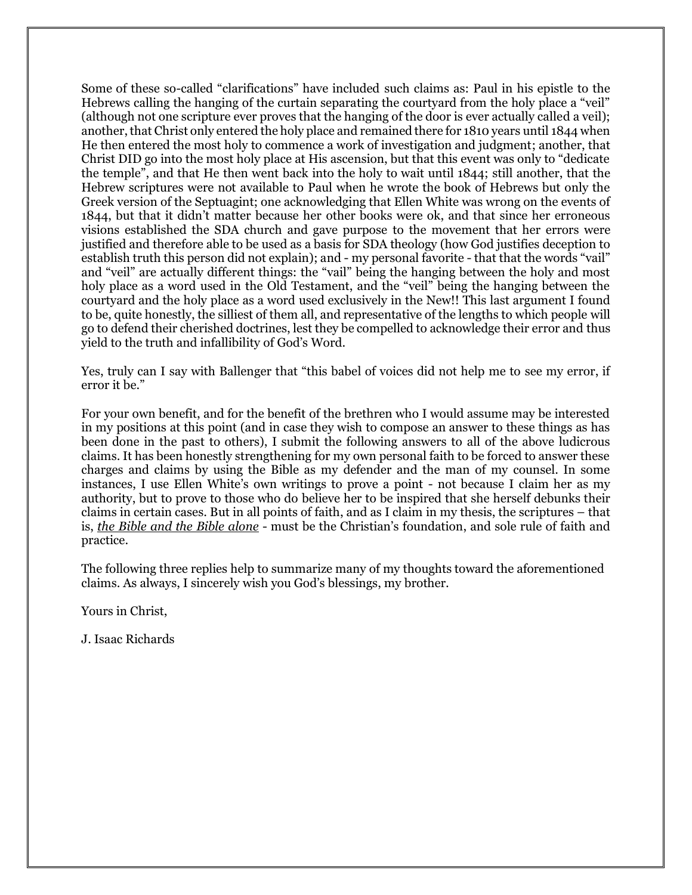Some of these so-called "clarifications" have included such claims as: Paul in his epistle to the Hebrews calling the hanging of the curtain separating the courtyard from the holy place a "veil" (although not one scripture ever proves that the hanging of the door is ever actually called a veil); another, that Christ only entered the holy place and remained there for 1810 years until 1844 when He then entered the most holy to commence a work of investigation and judgment; another, that Christ DID go into the most holy place at His ascension, but that this event was only to "dedicate the temple", and that He then went back into the holy to wait until 1844; still another, that the Hebrew scriptures were not available to Paul when he wrote the book of Hebrews but only the Greek version of the Septuagint; one acknowledging that Ellen White was wrong on the events of 1844, but that it didn't matter because her other books were ok, and that since her erroneous visions established the SDA church and gave purpose to the movement that her errors were justified and therefore able to be used as a basis for SDA theology (how God justifies deception to establish truth this person did not explain); and - my personal favorite - that that the words "vail" and "veil" are actually different things: the "vail" being the hanging between the holy and most holy place as a word used in the Old Testament, and the "veil" being the hanging between the courtyard and the holy place as a word used exclusively in the New!! This last argument I found to be, quite honestly, the silliest of them all, and representative of the lengths to which people will go to defend their cherished doctrines, lest they be compelled to acknowledge their error and thus yield to the truth and infallibility of God's Word.

Yes, truly can I say with Ballenger that "this babel of voices did not help me to see my error, if error it be."

For your own benefit, and for the benefit of the brethren who I would assume may be interested in my positions at this point (and in case they wish to compose an answer to these things as has been done in the past to others), I submit the following answers to all of the above ludicrous claims. It has been honestly strengthening for my own personal faith to be forced to answer these charges and claims by using the Bible as my defender and the man of my counsel. In some instances, I use Ellen White's own writings to prove a point - not because I claim her as my authority, but to prove to those who do believe her to be inspired that she herself debunks their claims in certain cases. But in all points of faith, and as I claim in my thesis, the scriptures – that is, *the Bible and the Bible alone* - must be the Christian's foundation, and sole rule of faith and practice.

The following three replies help to summarize many of my thoughts toward the aforementioned claims. As always, I sincerely wish you God's blessings, my brother.

Yours in Christ,

J. Isaac Richards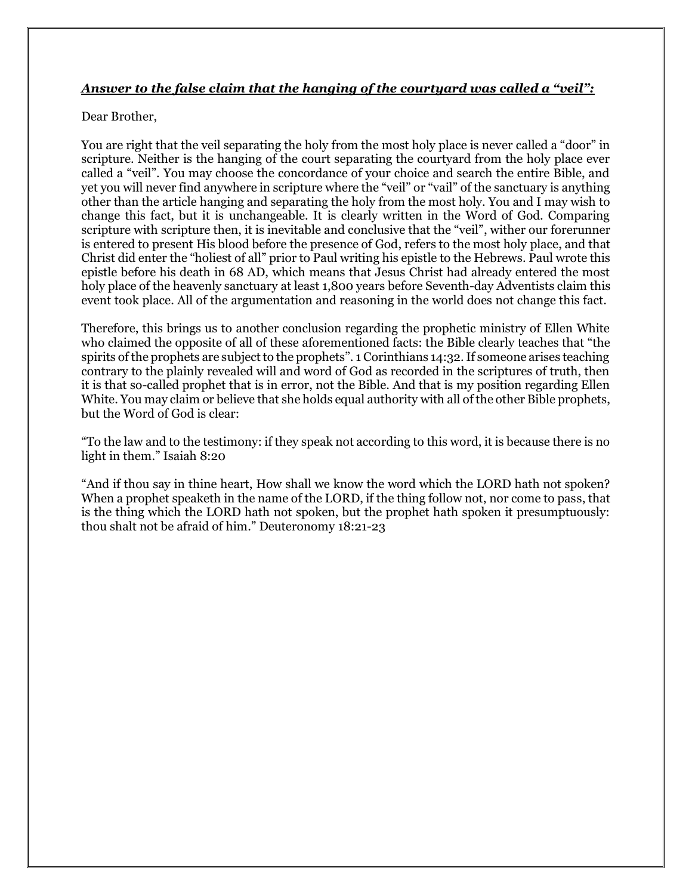# *Answer to the false claim that the hanging of the courtyard was called a "veil":*

Dear Brother,

You are right that the veil separating the holy from the most holy place is never called a "door" in scripture. Neither is the hanging of the court separating the courtyard from the holy place ever called a "veil". You may choose the concordance of your choice and search the entire Bible, and yet you will never find anywhere in scripture where the "veil" or "vail" of the sanctuary is anything other than the article hanging and separating the holy from the most holy. You and I may wish to change this fact, but it is unchangeable. It is clearly written in the Word of God. Comparing scripture with scripture then, it is inevitable and conclusive that the "veil", wither our forerunner is entered to present His blood before the presence of God, refers to the most holy place, and that Christ did enter the "holiest of all" prior to Paul writing his epistle to the Hebrews. Paul wrote this epistle before his death in 68 AD, which means that Jesus Christ had already entered the most holy place of the heavenly sanctuary at least 1,800 years before Seventh-day Adventists claim this event took place. All of the argumentation and reasoning in the world does not change this fact.

Therefore, this brings us to another conclusion regarding the prophetic ministry of Ellen White who claimed the opposite of all of these aforementioned facts: the Bible clearly teaches that "the spirits of the prophets are subject to the prophets". 1 Corinthians 14:32. If someone arises teaching contrary to the plainly revealed will and word of God as recorded in the scriptures of truth, then it is that so-called prophet that is in error, not the Bible. And that is my position regarding Ellen White. You may claim or believe that she holds equal authority with all of the other Bible prophets, but the Word of God is clear:

"To the law and to the testimony: if they speak not according to this word, it is because there is no light in them." Isaiah 8:20

"And if thou say in thine heart, How shall we know the word which the LORD hath not spoken? When a prophet speaketh in the name of the LORD, if the thing follow not, nor come to pass, that is the thing which the LORD hath not spoken, but the prophet hath spoken it presumptuously: thou shalt not be afraid of him." Deuteronomy [18:21-23](x-apple-data-detectors://2/)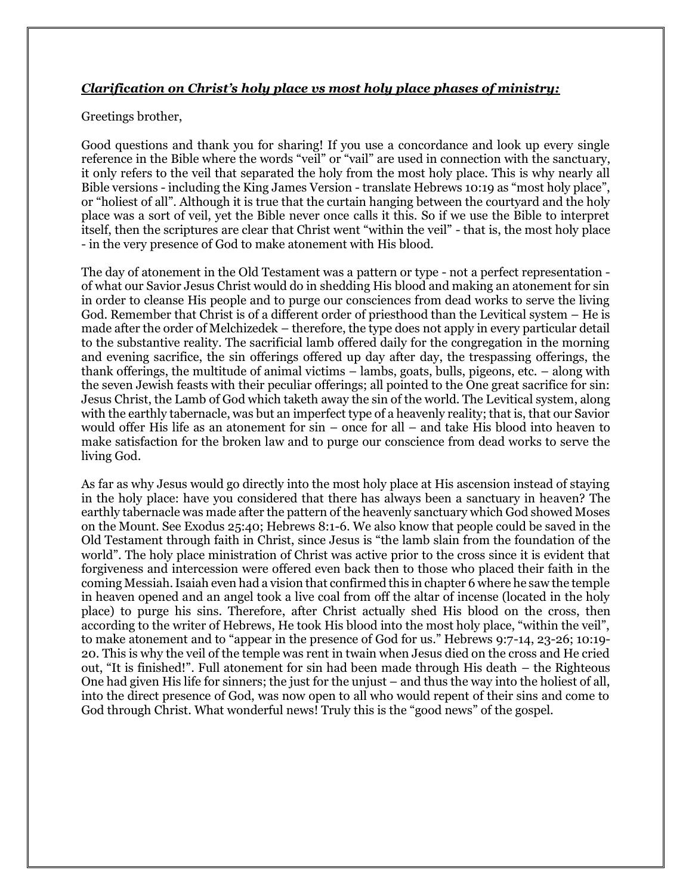## *Clarification on Christ's holy place vs most holy place phases of ministry:*

### Greetings brother,

Good questions and thank you for sharing! If you use a concordance and look up every single reference in the Bible where the words "veil" or "vail" are used in connection with the sanctuary, it only refers to the veil that separated the holy from the most holy place. This is why nearly all Bible versions - including the King James Version - translate Hebrews 10:19 as "most holy place", or "holiest of all". Although it is true that the curtain hanging between the courtyard and the holy place was a sort of veil, yet the Bible never once calls it this. So if we use the Bible to interpret itself, then the scriptures are clear that Christ went "within the veil" - that is, the most holy place - in the very presence of God to make atonement with His blood.

The day of atonement in the Old Testament was a pattern or type - not a perfect representation of what our Savior Jesus Christ would do in shedding His blood and making an atonement for sin in order to cleanse His people and to purge our consciences from dead works to serve the living God. Remember that Christ is of a different order of priesthood than the Levitical system – He is made after the order of Melchizedek – therefore, the type does not apply in every particular detail to the substantive reality. The sacrificial lamb offered daily for the congregation in the morning and evening sacrifice, the sin offerings offered up day after day, the trespassing offerings, the thank offerings, the multitude of animal victims – lambs, goats, bulls, pigeons, etc. – along with the seven Jewish feasts with their peculiar offerings; all pointed to the One great sacrifice for sin: Jesus Christ, the Lamb of God which taketh away the sin of the world. The Levitical system, along with the earthly tabernacle, was but an imperfect type of a heavenly reality; that is, that our Savior would offer His life as an atonement for sin – once for all – and take His blood into heaven to make satisfaction for the broken law and to purge our conscience from dead works to serve the living God.

As far as why Jesus would go directly into the most holy place at His ascension instead of staying in the holy place: have you considered that there has always been a sanctuary in heaven? The earthly tabernacle was made after the pattern of the heavenly sanctuary which God showed Moses on the Mount. See Exodus 25:40; Hebrews 8:1-6. We also know that people could be saved in the Old Testament through faith in Christ, since Jesus is "the lamb slain from the foundation of the world". The holy place ministration of Christ was active prior to the cross since it is evident that forgiveness and intercession were offered even back then to those who placed their faith in the coming Messiah. Isaiah even had a vision that confirmed this in chapter 6 where he saw the temple in heaven opened and an angel took a live coal from off the altar of incense (located in the holy place) to purge his sins. Therefore, after Christ actually shed His blood on the cross, then according to the writer of Hebrews, He took His blood into the most holy place, "within the veil", to make atonement and to "appear in the presence of God for us." Hebrews 9:7-14, 23-26; [10:19-](x-apple-data-detectors://2/) [20.](x-apple-data-detectors://2/) This is why the veil of the temple was rent in twain when Jesus died on the cross and He cried out, "It is finished!". Full atonement for sin had been made through His death – the Righteous One had given His life for sinners; the just for the unjust – and thus the way into the holiest of all, into the direct presence of God, was now open to all who would repent of their sins and come to God through Christ. What wonderful news! Truly this is the "good news" of the gospel.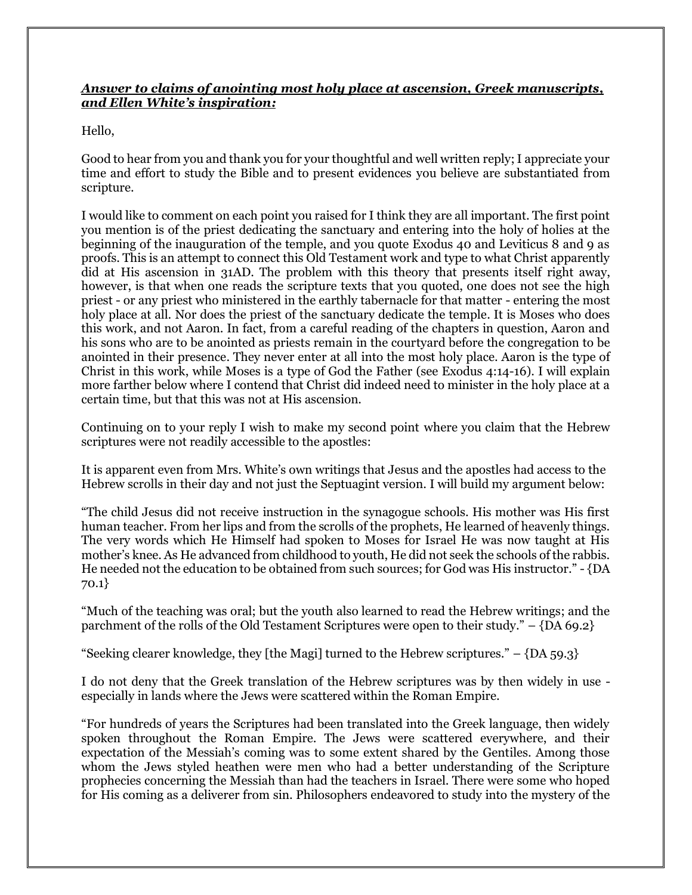### *Answer to claims of anointing most holy place at ascension, Greek manuscripts, and Ellen White's inspiration:*

Hello,

Good to hear from you and thank you for your thoughtful and well written reply; I appreciate your time and effort to study the Bible and to present evidences you believe are substantiated from scripture.

I would like to comment on each point you raised for I think they are all important. The first point you mention is of the priest dedicating the sanctuary and entering into the holy of holies at the beginning of the inauguration of the temple, and you quote Exodus 40 and Leviticus 8 and 9 as proofs. This is an attempt to connect this Old Testament work and type to what Christ apparently did at His ascension in 31AD. The problem with this theory that presents itself right away, however, is that when one reads the scripture texts that you quoted, one does not see the high priest - or any priest who ministered in the earthly tabernacle for that matter - entering the most holy place at all. Nor does the priest of the sanctuary dedicate the temple. It is Moses who does this work, and not Aaron. In fact, from a careful reading of the chapters in question, Aaron and his sons who are to be anointed as priests remain in the courtyard before the congregation to be anointed in their presence. They never enter at all into the most holy place. Aaron is the type of Christ in this work, while Moses is a type of God the Father (see Exodus [4:14-16\)](x-apple-data-detectors://1/). I will explain more farther below where I contend that Christ did indeed need to minister in the holy place at a certain time, but that this was not at His ascension.

Continuing on to your reply I wish to make my second point where you claim that the Hebrew scriptures were not readily accessible to the apostles:

It is apparent even from Mrs. White's own writings that Jesus and the apostles had access to the Hebrew scrolls in their day and not just the Septuagint version. I will build my argument below:

"The child Jesus did not receive instruction in the synagogue schools. His mother was His first human teacher. From her lips and from the scrolls of the prophets, He learned of heavenly things. The very words which He Himself had spoken to Moses for Israel He was now taught at His mother's knee. As He advanced from childhood to youth, He did not seek the schools of the rabbis. He needed not the education to be obtained from such sources; for God was His instructor." - {DA 70.1}

"Much of the teaching was oral; but the youth also learned to read the Hebrew writings; and the parchment of the rolls of the Old Testament Scriptures were open to their study."  $-$  {DA 69.2}

"Seeking clearer knowledge, they [the Magi] turned to the Hebrew scriptures."  $-$  {DA 59.3}

I do not deny that the Greek translation of the Hebrew scriptures was by then widely in use especially in lands where the Jews were scattered within the Roman Empire.

"For hundreds of years the Scriptures had been translated into the Greek language, then widely spoken throughout the Roman Empire. The Jews were scattered everywhere, and their expectation of the Messiah's coming was to some extent shared by the Gentiles. Among those whom the Jews styled heathen were men who had a better understanding of the Scripture prophecies concerning the Messiah than had the teachers in Israel. There were some who hoped for His coming as a deliverer from sin. Philosophers endeavored to study into the mystery of the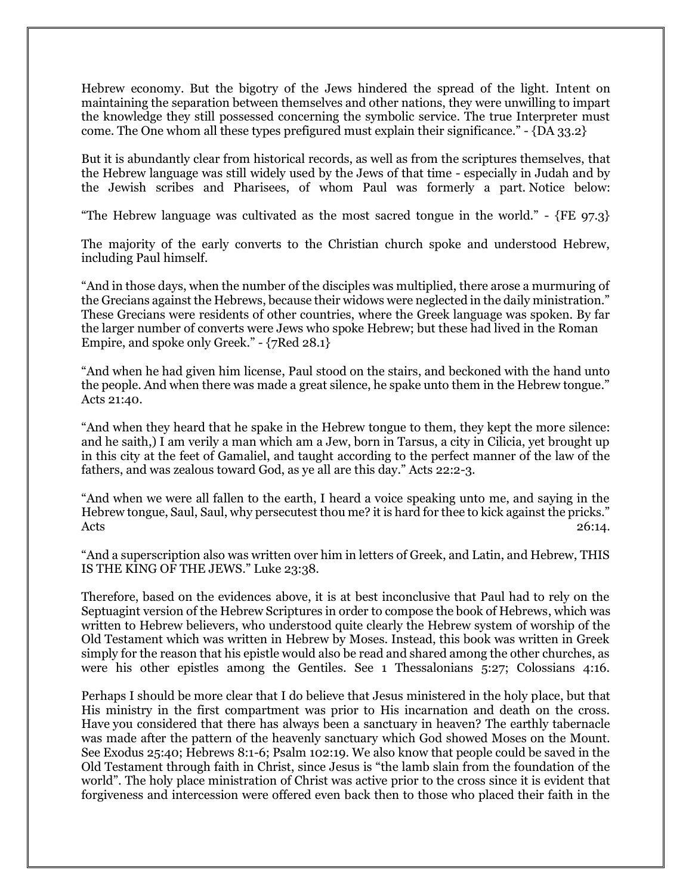Hebrew economy. But the bigotry of the Jews hindered the spread of the light. Intent on maintaining the separation between themselves and other nations, they were unwilling to impart the knowledge they still possessed concerning the symbolic service. The true Interpreter must come. The One whom all these types prefigured must explain their significance." -  $\{DA, 33.2\}$ 

But it is abundantly clear from historical records, as well as from the scriptures themselves, that the Hebrew language was still widely used by the Jews of that time - especially in Judah and by the Jewish scribes and Pharisees, of whom Paul was formerly a part. Notice below:

"The Hebrew language was cultivated as the most sacred tongue in the world." -  ${FE}$  97.3}

The majority of the early converts to the Christian church spoke and understood Hebrew, including Paul himself.

"And in those days, when the number of the disciples was multiplied, there arose a murmuring of the Grecians against the Hebrews, because their widows were neglected in the daily ministration." These Grecians were residents of other countries, where the Greek language was spoken. By far the larger number of converts were Jews who spoke Hebrew; but these had lived in the Roman Empire, and spoke only Greek." - {7Red 28.1}

"And when he had given him license, Paul stood on the stairs, and beckoned with the hand unto the people. And when there was made a great silence, he spake unto them in the Hebrew tongue." Acts [21:40.](x-apple-data-detectors://2/)

"And when they heard that he spake in the Hebrew tongue to them, they kept the more silence: and he saith,) I am verily a man which am a Jew, born in Tarsus, a city in Cilicia, yet brought up in this city at the feet of Gamaliel, and taught according to the perfect manner of the law of the fathers, and was zealous toward God, as ye all are this day." Acts 22:2-3.

"And when we were all fallen to the earth, I heard a voice speaking unto me, and saying in the Hebrew tongue, Saul, Saul, why persecutest thou me? it is hard for thee to kick against the pricks."  $\text{Acts}$  26:14.

"And a superscription also was written over him in letters of Greek, and Latin, and Hebrew, THIS IS THE KING OF THE JEWS." Luke 23:38.

Therefore, based on the evidences above, it is at best inconclusive that Paul had to rely on the Septuagint version of the Hebrew Scriptures in order to compose the book of Hebrews, which was written to Hebrew believers, who understood quite clearly the Hebrew system of worship of the Old Testament which was written in Hebrew by Moses. Instead, this book was written in Greek simply for the reason that his epistle would also be read and shared among the other churches, as were his other epistles among the Gentiles. See 1 Thessalonians 5:27; Colossians 4:16.

Perhaps I should be more clear that I do believe that Jesus ministered in the holy place, but that His ministry in the first compartment was prior to His incarnation and death on the cross. Have you considered that there has always been a sanctuary in heaven? The earthly tabernacle was made after the pattern of the heavenly sanctuary which God showed Moses on the Mount. See Exodus 25:40; Hebrews 8:1-6; Psalm 102:19. We also know that people could be saved in the Old Testament through faith in Christ, since Jesus is "the lamb slain from the foundation of the world". The holy place ministration of Christ was active prior to the cross since it is evident that forgiveness and intercession were offered even back then to those who placed their faith in the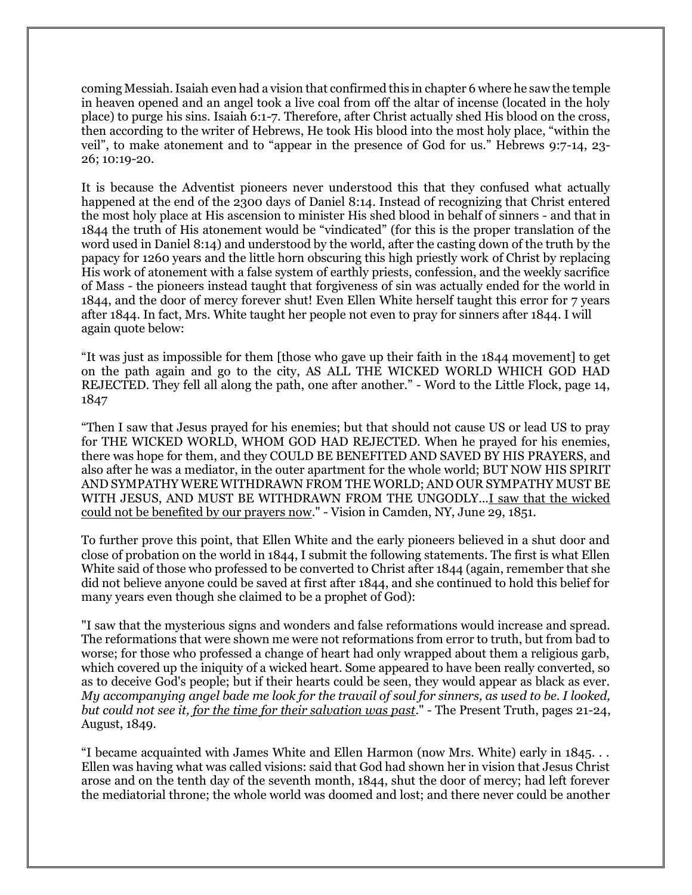coming Messiah. Isaiah even had a vision that confirmed this in chapter 6 where he saw the temple in heaven opened and an angel took a live coal from off the altar of incense (located in the holy place) to purge his sins. Isaiah 6:1-7. Therefore, after Christ actually shed His blood on the cross, then according to the writer of Hebrews, He took His blood into the most holy place, "within the veil", to make atonement and to "appear in the presence of God for us." Hebrews 9:7-14, 23- 26; [10:19-20.](x-apple-data-detectors://9/)

It is because the Adventist pioneers never understood this that they confused what actually happened at the end of the 2300 days of Daniel 8:14. Instead of recognizing that Christ entered the most holy place at His ascension to minister His shed blood in behalf of sinners - and that in 1844 the truth of His atonement would be "vindicated" (for this is the proper translation of the word used in Daniel 8:14) and understood by the world, after the casting down of the truth by the papacy for 1260 years and the little horn obscuring this high priestly work of Christ by replacing His work of atonement with a false system of earthly priests, confession, and the weekly sacrifice of Mass - the pioneers instead taught that forgiveness of sin was actually ended for the world in 1844, and the door of mercy forever shut! Even Ellen White herself taught this error for 7 years after 1844. In fact, Mrs. White taught her people not even to pray for sinners after 1844. I will again quote below:

"It was just as impossible for them [those who gave up their faith in the 1844 movement] to get on the path again and go to the city, AS ALL THE WICKED WORLD WHICH GOD HAD REJECTED. They fell all along the path, one after another." - Word to the Little Flock, page 14, 1847

"Then I saw that Jesus prayed for his enemies; but that should not cause US or lead US to pray for THE WICKED WORLD, WHOM GOD HAD REJECTED. When he prayed for his enemies, there was hope for them, and they COULD BE BENEFITED AND SAVED BY HIS PRAYERS, and also after he was a mediator, in the outer apartment for the whole world; BUT NOW HIS SPIRIT AND SYMPATHY WERE WITHDRAWN FROM THE WORLD; AND OUR SYMPATHY MUST BE WITH JESUS, AND MUST BE WITHDRAWN FROM THE UNGODLY...I saw that the wicked could not be benefited by our prayers now." - Vision in Camden, NY, June 29, 1851.

To further prove this point, that Ellen White and the early pioneers believed in a shut door and close of probation on the world in 1844, I submit the following statements. The first is what Ellen White said of those who professed to be converted to Christ after 1844 (again, remember that she did not believe anyone could be saved at first after 1844, and she continued to hold this belief for many years even though she claimed to be a prophet of God):

"I saw that the mysterious signs and wonders and false reformations would increase and spread. The reformations that were shown me were not reformations from error to truth, but from bad to worse; for those who professed a change of heart had only wrapped about them a religious garb, which covered up the iniquity of a wicked heart. Some appeared to have been really converted, so as to deceive God's people; but if their hearts could be seen, they would appear as black as ever. *My accompanying angel bade me look for the travail of soul for sinners, as used to be. I looked, but could not see it, for the time for their salvation was past*." - The Present Truth, pages 21-24, August, 1849.

"I became acquainted with James White and Ellen Harmon (now Mrs. White) early in 1845. . . Ellen was having what was called visions: said that God had shown her in vision that Jesus Christ arose and on the tenth day of the seventh month, 1844, shut the door of mercy; had left forever the mediatorial throne; the whole world was doomed and lost; and there never could be another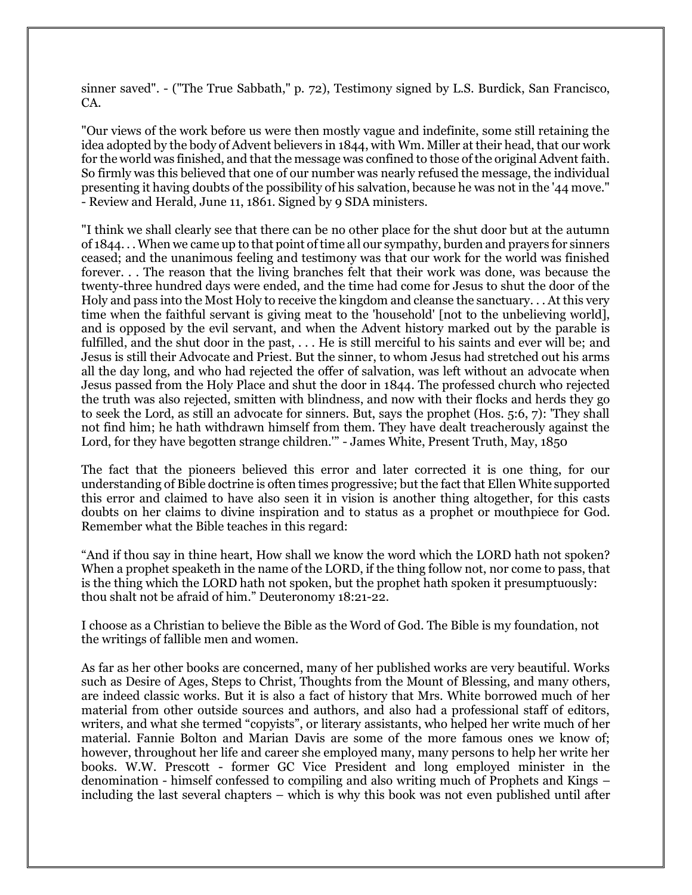sinner saved". - ("The True Sabbath," p. 72), Testimony signed by L.S. Burdick, San Francisco, CA.

"Our views of the work before us were then mostly vague and indefinite, some still retaining the idea adopted by the body of Advent believers in 1844, with Wm. Miller at their head, that our work for the world was finished, and that the message was confined to those of the original Advent faith. So firmly was this believed that one of our number was nearly refused the message, the individual presenting it having doubts of the possibility of his salvation, because he was not in the '44 move." - Review and Herald, June 11, 1861. Signed by 9 SDA ministers.

"I think we shall clearly see that there can be no other place for the shut door but at the autumn of 1844. . . When we came up to that point of time all our sympathy, burden and prayers for sinners ceased; and the unanimous feeling and testimony was that our work for the world was finished forever. . . The reason that the living branches felt that their work was done, was because the twenty-three hundred days were ended, and the time had come for Jesus to shut the door of the Holy and pass into the Most Holy to receive the kingdom and cleanse the sanctuary. . . At this very time when the faithful servant is giving meat to the 'household' [not to the unbelieving world], and is opposed by the evil servant, and when the Advent history marked out by the parable is fulfilled, and the shut door in the past, . . . He is still merciful to his saints and ever will be; and Jesus is still their Advocate and Priest. But the sinner, to whom Jesus had stretched out his arms all the day long, and who had rejected the offer of salvation, was left without an advocate when Jesus passed from the Holy Place and shut the door in 1844. The professed church who rejected the truth was also rejected, smitten with blindness, and now with their flocks and herds they go to seek the Lord, as still an advocate for sinners. But, says the prophet (Hos. 5:6, 7): 'They shall not find him; he hath withdrawn himself from them. They have dealt treacherously against the Lord, for they have begotten strange children." - James White, Present Truth, May, 1850

The fact that the pioneers believed this error and later corrected it is one thing, for our understanding of Bible doctrine is often times progressive; but the fact that Ellen White supported this error and claimed to have also seen it in vision is another thing altogether, for this casts doubts on her claims to divine inspiration and to status as a prophet or mouthpiece for God. Remember what the Bible teaches in this regard:

"And if thou say in thine heart, How shall we know the word which the LORD hath not spoken? When a prophet speaketh in the name of the LORD, if the thing follow not, nor come to pass, that is the thing which the LORD hath not spoken, but the prophet hath spoken it presumptuously: thou shalt not be afraid of him." Deuteronomy [18:21-22.](x-apple-data-detectors://15/)

I choose as a Christian to believe the Bible as the Word of God. The Bible is my foundation, not the writings of fallible men and women.

As far as her other books are concerned, many of her published works are very beautiful. Works such as Desire of Ages, Steps to Christ, Thoughts from the Mount of Blessing, and many others, are indeed classic works. But it is also a fact of history that Mrs. White borrowed much of her material from other outside sources and authors, and also had a professional staff of editors, writers, and what she termed "copyists", or literary assistants, who helped her write much of her material. Fannie Bolton and Marian Davis are some of the more famous ones we know of; however, throughout her life and career she employed many, many persons to help her write her books. W.W. Prescott - former GC Vice President and long employed minister in the denomination - himself confessed to compiling and also writing much of Prophets and Kings – including the last several chapters – which is why this book was not even published until after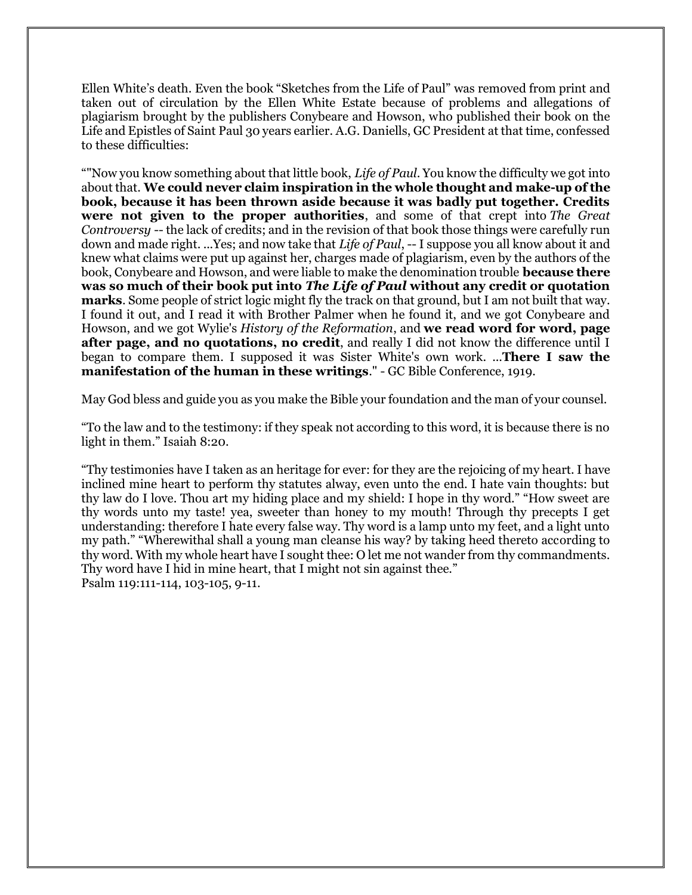Ellen White's death. Even the book "Sketches from the Life of Paul" was removed from print and taken out of circulation by the Ellen White Estate because of problems and allegations of plagiarism brought by the publishers Conybeare and Howson, who published their book on the Life and Epistles of Saint Paul 30 years earlier. A.G. Daniells, GC President at that time, confessed to these difficulties:

""Now you know something about that little book, *Life of Paul*. You know the difficulty we got into about that. **We could never claim inspiration in the whole thought and make-up of the book, because it has been thrown aside because it was badly put together. Credits were not given to the proper authorities**, and some of that crept into *The Great Controversy* -- the lack of credits; and in the revision of that book those things were carefully run down and made right. ...Yes; and now take that *Life of Paul*, -- I suppose you all know about it and knew what claims were put up against her, charges made of plagiarism, even by the authors of the book, Conybeare and Howson, and were liable to make the denomination trouble **because there was so much of their book put into** *The Life of Paul* **without any credit or quotation marks**. Some people of strict logic might fly the track on that ground, but I am not built that way. I found it out, and I read it with Brother Palmer when he found it, and we got Conybeare and Howson, and we got Wylie's *History of the Reformation*, and **we read word for word, page after page, and no quotations, no credit**, and really I did not know the difference until I began to compare them. I supposed it was Sister White's own work. ...**There I saw the manifestation of the human in these writings**." - GC Bible Conference, 1919.

May God bless and guide you as you make the Bible your foundation and the man of your counsel.

"To the law and to the testimony: if they speak not according to this word, it is because there is no light in them." Isaiah 8:20.

"Thy testimonies have I taken as an heritage for ever: for they are the rejoicing of my heart. I have inclined mine heart to perform thy statutes alway, even unto the end. I hate vain thoughts: but thy law do I love. Thou art my hiding place and my shield: I hope in thy word." "How sweet are thy words unto my taste! yea, sweeter than honey to my mouth! Through thy precepts I get understanding: therefore I hate every false way. Thy word is a lamp unto my feet, and a light unto my path." "Wherewithal shall a young man cleanse his way? by taking heed thereto according to thy word. With my whole heart have I sought thee: O let me not wander from thy commandments. Thy word have I hid in mine heart, that I might not sin against thee." Psalm 119:111-114, 103-105, 9-11.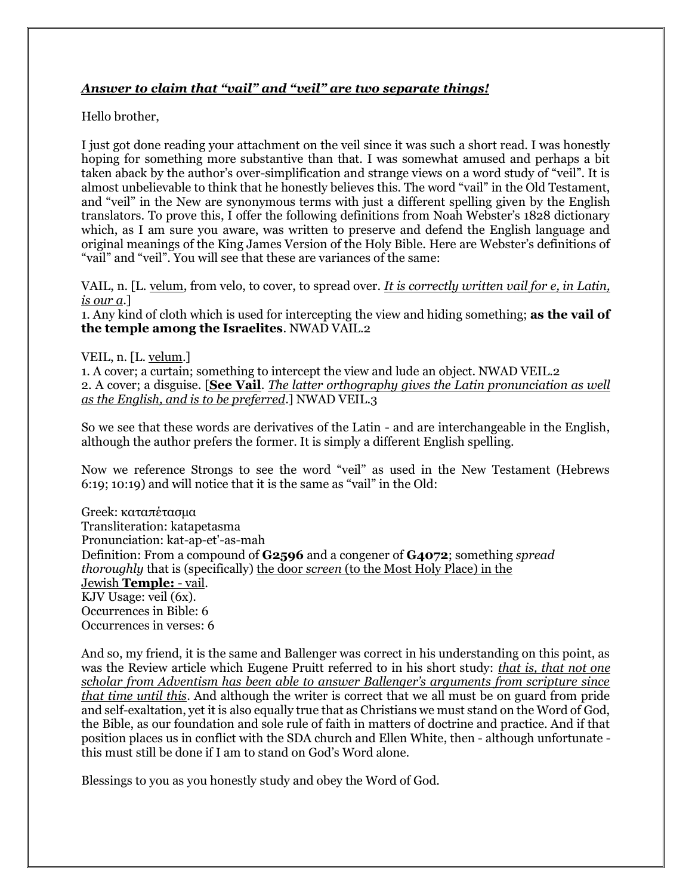# *Answer to claim that "vail" and "veil" are two separate things!*

Hello brother,

I just got done reading your attachment on the veil since it was such a short read. I was honestly hoping for something more substantive than that. I was somewhat amused and perhaps a bit taken aback by the author's over-simplification and strange views on a word study of "veil". It is almost unbelievable to think that he honestly believes this. The word "vail" in the Old Testament, and "veil" in the New are synonymous terms with just a different spelling given by the English translators. To prove this, I offer the following definitions from Noah Webster's 1828 dictionary which, as I am sure you aware, was written to preserve and defend the English language and original meanings of the King James Version of the Holy Bible. Here are Webster's definitions of "vail" and "veil". You will see that these are variances of the same:

VAIL, n. [L. velum, from velo, to cover, to spread over. *It is correctly written vail for e, in Latin, is our a*.]

1. Any kind of cloth which is used for intercepting the view and hiding something; **as the vail of the temple among the Israelites**. NWAD VAIL.2

VEIL, n. [L. velum.]

1. A cover; a curtain; something to intercept the view and lude an object. NWAD VEIL.2 2. A cover; a disguise. [**See Vail**. *The latter orthography gives the Latin pronunciation as well as the English, and is to be preferred*.] NWAD VEIL.3

So we see that these words are derivatives of the Latin - and are interchangeable in the English, although the author prefers the former. It is simply a different English spelling.

Now we reference Strongs to see the word "veil" as used in the New Testament (Hebrews 6:19; [10:19](x-apple-data-detectors://2/)) and will notice that it is the same as "vail" in the Old:

Greek: καταπέτασμα Transliteration: katapetasma Pronunciation: kat-ap-et'-as-mah Definition: From a compound of **G2596** and a congener of **G4072**; something *spread thoroughly* that is (specifically) the door *screen* (to the Most Holy Place) in the Jewish **Temple:** - vail. KJV Usage: veil (6x). Occurrences in Bible: 6 Occurrences in verses: 6

And so, my friend, it is the same and Ballenger was correct in his understanding on this point, as was the Review article which Eugene Pruitt referred to in his short study: *that is, that not one scholar from Adventism has been able to answer Ballenger's arguments from scripture since that time until this*. And although the writer is correct that we all must be on guard from pride and self-exaltation, yet it is also equally true that as Christians we must stand on the Word of God, the Bible, as our foundation and sole rule of faith in matters of doctrine and practice. And if that position places us in conflict with the SDA church and Ellen White, then - although unfortunate this must still be done if I am to stand on God's Word alone.

Blessings to you as you honestly study and obey the Word of God.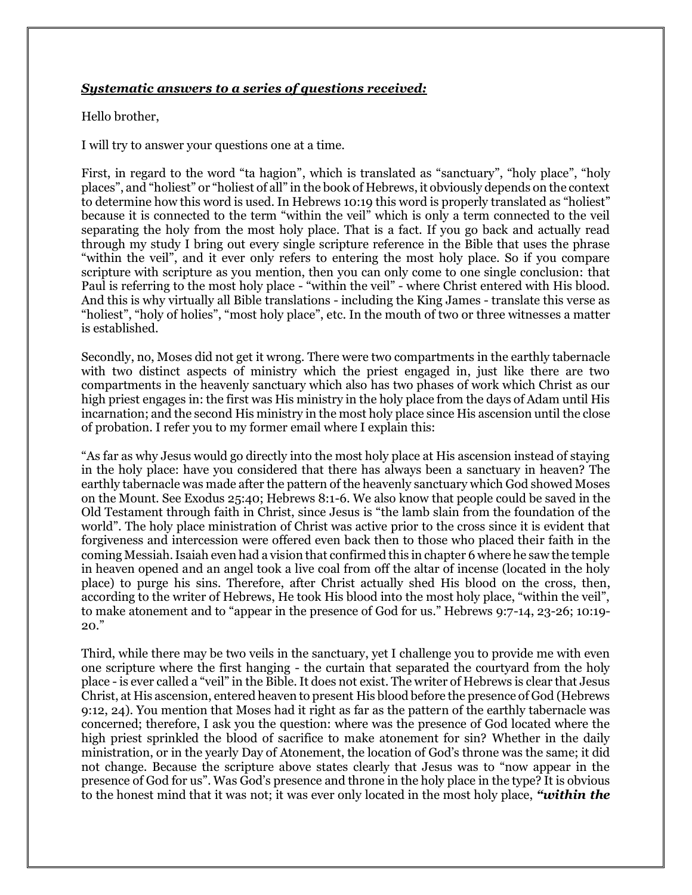### *Systematic answers to a series of questions received:*

### Hello brother,

I will try to answer your questions one at a time.

First, in regard to the word "ta hagion", which is translated as "sanctuary", "holy place", "holy places", and "holiest" or "holiest of all" in the book of Hebrews, it obviously depends on the context to determine how this word is used. In Hebrews 10:19 this word is properly translated as "holiest" because it is connected to the term "within the veil" which is only a term connected to the veil separating the holy from the most holy place. That is a fact. If you go back and actually read through my study I bring out every single scripture reference in the Bible that uses the phrase "within the veil", and it ever only refers to entering the most holy place. So if you compare scripture with scripture as you mention, then you can only come to one single conclusion: that Paul is referring to the most holy place - "within the veil" - where Christ entered with His blood. And this is why virtually all Bible translations - including the King James - translate this verse as "holiest", "holy of holies", "most holy place", etc. In the mouth of two or three witnesses a matter is established.

Secondly, no, Moses did not get it wrong. There were two compartments in the earthly tabernacle with two distinct aspects of ministry which the priest engaged in, just like there are two compartments in the heavenly sanctuary which also has two phases of work which Christ as our high priest engages in: the first was His ministry in the holy place from the days of Adam until His incarnation; and the second His ministry in the most holy place since His ascension until the close of probation. I refer you to my former email where I explain this:

"As far as why Jesus would go directly into the most holy place at His ascension instead of staying in the holy place: have you considered that there has always been a sanctuary in heaven? The earthly tabernacle was made after the pattern of the heavenly sanctuary which God showed Moses on the Mount. See Exodus 25:40; Hebrews 8:1-6. We also know that people could be saved in the Old Testament through faith in Christ, since Jesus is "the lamb slain from the foundation of the world". The holy place ministration of Christ was active prior to the cross since it is evident that forgiveness and intercession were offered even back then to those who placed their faith in the coming Messiah. Isaiah even had a vision that confirmed this in chapter 6 where he saw the temple in heaven opened and an angel took a live coal from off the altar of incense (located in the holy place) to purge his sins. Therefore, after Christ actually shed His blood on the cross, then, according to the writer of Hebrews, He took His blood into the most holy place, "within the veil", to make atonement and to "appear in the presence of God for us." Hebrews 9:7-14, 23-26; [10:19-](x-apple-data-detectors://3/) [20](x-apple-data-detectors://3/)."

Third, while there may be two veils in the sanctuary, yet I challenge you to provide me with even one scripture where the first hanging - the curtain that separated the courtyard from the holy place - is ever called a "veil" in the Bible. It does not exist. The writer of Hebrews is clear that Jesus Christ, at His ascension, entered heaven to present His blood before the presence of God (Hebrews 9:12, 24). You mention that Moses had it right as far as the pattern of the earthly tabernacle was concerned; therefore, I ask you the question: where was the presence of God located where the high priest sprinkled the blood of sacrifice to make atonement for sin? Whether in the daily ministration, or in the yearly Day of Atonement, the location of God's throne was the same; it did not change. Because the scripture above states clearly that Jesus was to "now appear in the presence of God for us". Was God's presence and throne in the holy place in the type? It is obvious to the honest mind that it was not; it was ever only located in the most holy place, *"within the*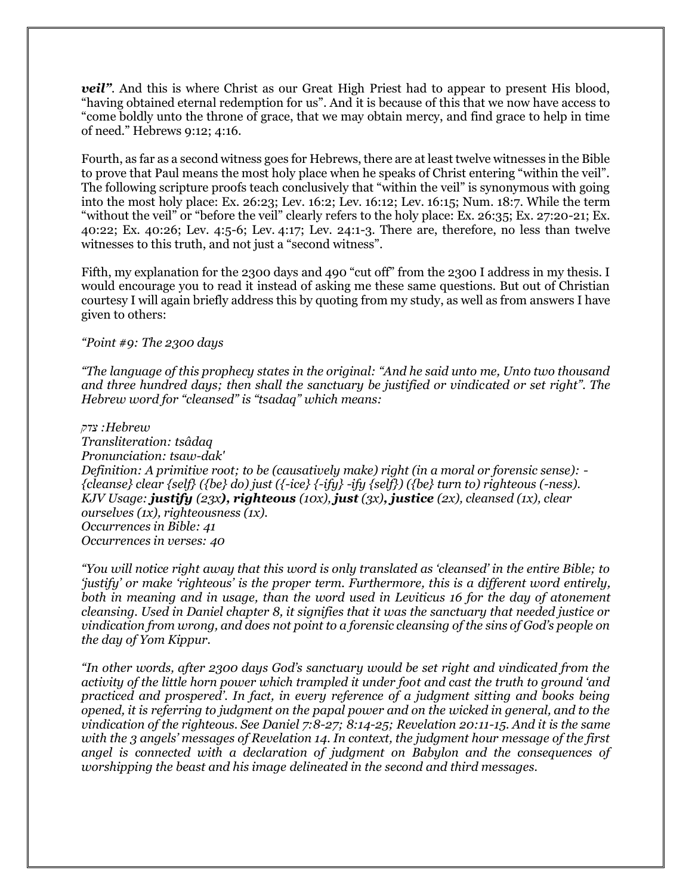*veil*. And this is where Christ as our Great High Priest had to appear to present His blood, "having obtained eternal redemption for us". And it is because of this that we now have access to "come boldly unto the throne of grace, that we may obtain mercy, and find grace to help in time of need." Hebrews 9:12; [4:16.](x-apple-data-detectors://6/)

Fourth, as far as a second witness goes for Hebrews, there are at least twelve witnesses in the Bible to prove that Paul means the most holy place when he speaks of Christ entering "within the veil". The following scripture proofs teach conclusively that "within the veil" is synonymous with going into the most holy place: Ex. 26:23; Lev. 16:2; Lev. [16:12;](x-apple-data-detectors://7/) Lev. [16:15;](x-apple-data-detectors://8/) Num. 18:7. While the term "without the veil" or "before the veil" clearly refers to the holy place: Ex. 26:35; Ex. 27:20-21; Ex. 40:22; Ex. 40:26; Lev. 4:5-6; Lev. [4:17;](x-apple-data-detectors://10/) Lev. 24:1-3. There are, therefore, no less than twelve witnesses to this truth, and not just a "second witness".

Fifth, my explanation for the 2300 days and 490 "cut off" from the 2300 I address in my thesis. I would encourage you to read it instead of asking me these same questions. But out of Christian courtesy I will again briefly address this by quoting from my study, as well as from answers I have given to others:

### *"Point #9: The 2300 days*

*"The language of this prophecy states in the original: "And he said unto me, Unto two thousand and three hundred days; then shall the sanctuary be justified or vindicated or set right". The Hebrew word for "cleansed" is "tsadaq" which means:*

*Hebrew: צדק Transliteration: tsâdaq Pronunciation: tsaw-dak' Definition: A primitive root; to be (causatively make) right (in a moral or forensic sense): - {cleanse} clear {self} ({be} do) just ({-ice} {-ify} -ify {self}) ({be} turn to) righteous (-ness). KJV Usage: justify (23x), righteous (10x), just (3x), justice (2x), cleansed (1x), clear ourselves (1x), righteousness (1x). Occurrences in Bible: 41 Occurrences in verses: 40*

*"You will notice right away that this word is only translated as 'cleansed' in the entire Bible; to 'justify' or make 'righteous' is the proper term. Furthermore, this is a different word entirely, both in meaning and in usage, than the word used in Leviticus 16 for the day of atonement cleansing. Used in Daniel chapter 8, it signifies that it was the sanctuary that needed justice or vindication from wrong, and does not point to a forensic cleansing of the sins of God's people on the day of Yom Kippur.*

*"In other words, after 2300 days God's sanctuary would be set right and vindicated from the activity of the little horn power which trampled it under foot and cast the truth to ground 'and practiced and prospered'. In fact, in every reference of a judgment sitting and books being opened, it is referring to judgment on the papal power and on the wicked in general, and to the vindication of the righteous. See Daniel 7:8-27; 8:14-25; Revelation [20:11-15.](x-apple-data-detectors://12/) And it is the same with the 3 angels' messages of Revelation 14. In context, the judgment hour message of the first angel is connected with a declaration of judgment on Babylon and the consequences of worshipping the beast and his image delineated in the second and third messages.*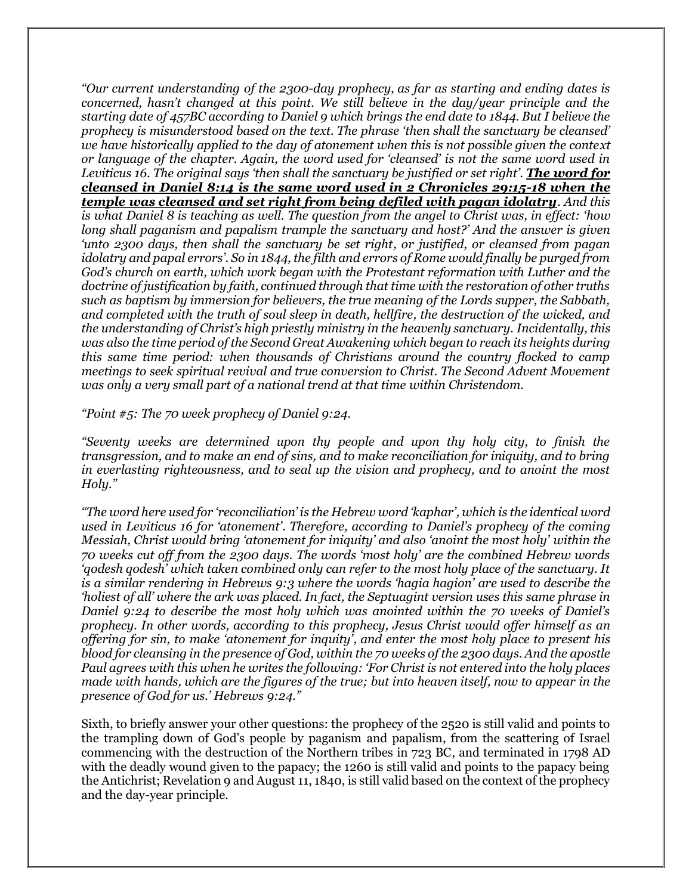*"Our current understanding of the 2300-day prophecy, as far as starting and ending dates is concerned, hasn't changed at this point. We still believe in the day/year principle and the starting date of 457BC according to Daniel 9 which brings the end date to 1844. But I believe the prophecy is misunderstood based on the text. The phrase 'then shall the sanctuary be cleansed' we have historically applied to the day of atonement when this is not possible given the context or language of the chapter. Again, the word used for 'cleansed' is not the same word used in Leviticus 16. The original says 'then shall the sanctuary be justified or set right'. The word for cleansed in Daniel 8:14 is the same word used in 2 Chronicles 29:15-18 when the temple was cleansed and set right from being defiled with pagan idolatry. And this is what Daniel 8 is teaching as well. The question from the angel to Christ was, in effect: 'how long shall paganism and papalism trample the sanctuary and host?' And the answer is given 'unto 2300 days, then shall the sanctuary be set right, or justified, or cleansed from pagan idolatry and papal errors'. So in 1844, the filth and errors of Rome would finally be purged from God's church on earth, which work began with the Protestant reformation with Luther and the doctrine of justification by faith, continued through that time with the restoration of other truths such as baptism by immersion for believers, the true meaning of the Lords supper, the Sabbath, and completed with the truth of soul sleep in death, hellfire, the destruction of the wicked, and the understanding of Christ's high priestly ministry in the heavenly sanctuary. Incidentally, this was also the time period of the Second Great Awakening which began to reach its heights during this same time period: when thousands of Christians around the country flocked to camp meetings to seek spiritual revival and true conversion to Christ. The Second Advent Movement was only a very small part of a national trend at that time within Christendom.*

*"Point #5: The 70 week prophecy of Daniel 9:24.*

*"Seventy weeks are determined upon thy people and upon thy holy city, to finish the transgression, and to make an end of sins, and to make reconciliation for iniquity, and to bring in everlasting righteousness, and to seal up the vision and prophecy, and to anoint the most Holy."*

*"The word here used for 'reconciliation' is the Hebrew word 'kaphar', which is the identical word used in Leviticus 16 for 'atonement'. Therefore, according to Daniel's prophecy of the coming Messiah, Christ would bring 'atonement for iniquity' and also 'anoint the most holy' within the 70 weeks cut off from the 2300 days. The words 'most holy' are the combined Hebrew words 'qodesh qodesh' which taken combined only can refer to the most holy place of the sanctuary. It is a similar rendering in Hebrews 9:3 where the words 'hagia hagion' are used to describe the 'holiest of all' where the ark was placed. In fact, the Septuagint version uses this same phrase in Daniel 9:24 to describe the most holy which was anointed within the 70 weeks of Daniel's prophecy. In other words, according to this prophecy, Jesus Christ would offer himself as an offering for sin, to make 'atonement for inquity', and enter the most holy place to present his blood for cleansing in the presence of God, within the 70 weeks of the 2300 days. And the apostle Paul agrees with this when he writes the following: 'For Christ is not entered into the holy places made with hands, which are the figures of the true; but into heaven itself, now to appear in the presence of God for us.' Hebrews 9:24."*

Sixth, to briefly answer your other questions: the prophecy of the 2520 is still valid and points to the trampling down of God's people by paganism and papalism, from the scattering of Israel commencing with the destruction of the Northern tribes in 723 BC, and terminated in 1798 AD with the deadly wound given to the papacy; the 1260 is still valid and points to the papacy being the Antichrist; Revelation 9 and August 11, 1840, is still valid based on the context of the prophecy and the day-year principle.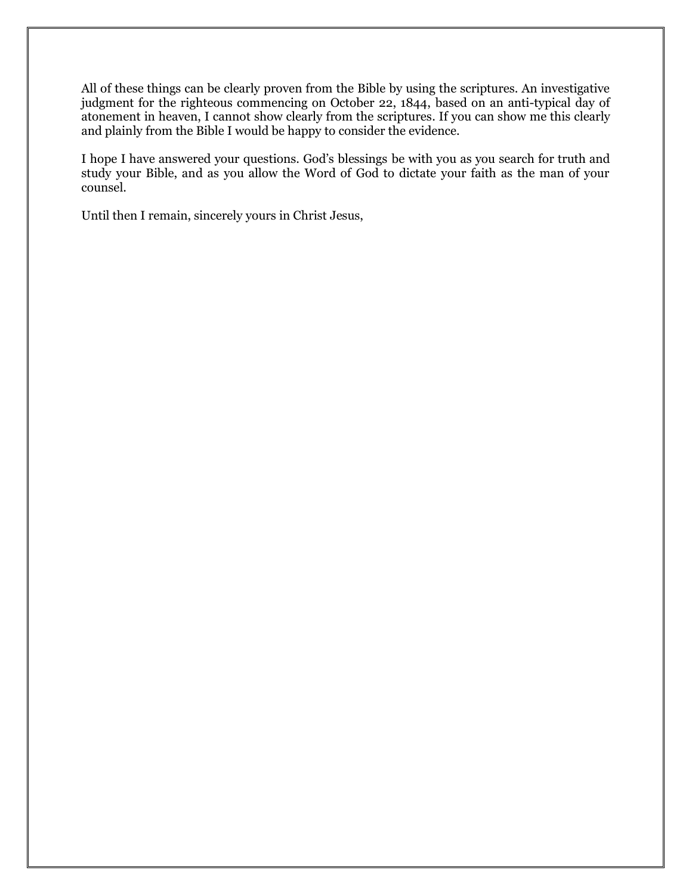All of these things can be clearly proven from the Bible by using the scriptures. An investigative judgment for the righteous commencing on October 22, 1844, based on an anti-typical day of atonement in heaven, I cannot show clearly from the scriptures. If you can show me this clearly and plainly from the Bible I would be happy to consider the evidence.

I hope I have answered your questions. God's blessings be with you as you search for truth and study your Bible, and as you allow the Word of God to dictate your faith as the man of your counsel.

Until then I remain, sincerely yours in Christ Jesus,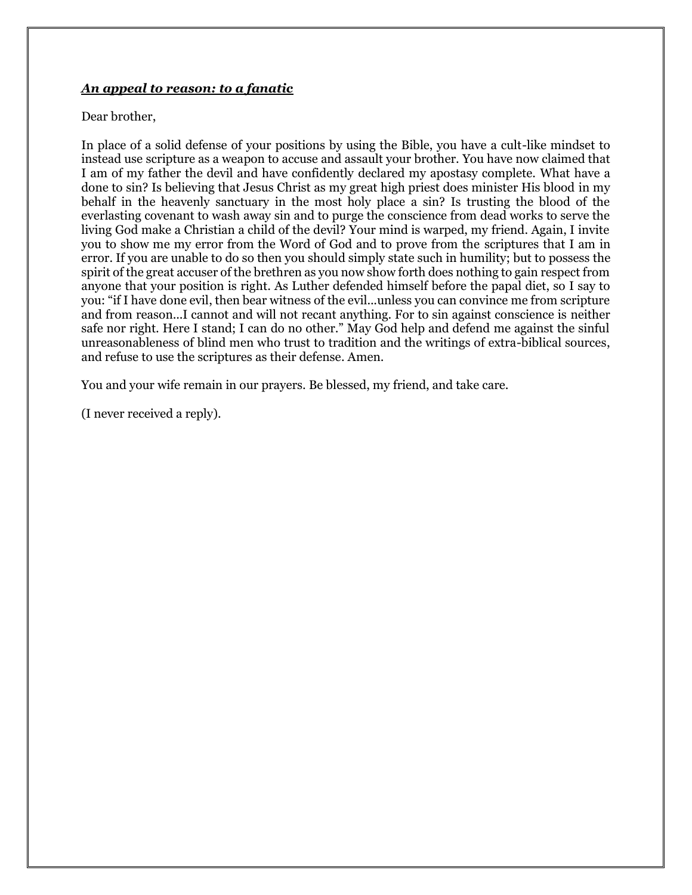### *An appeal to reason: to a fanatic*

Dear brother,

In place of a solid defense of your positions by using the Bible, you have a cult-like mindset to instead use scripture as a weapon to accuse and assault your brother. You have now claimed that I am of my father the devil and have confidently declared my apostasy complete. What have a done to sin? Is believing that Jesus Christ as my great high priest does minister His blood in my behalf in the heavenly sanctuary in the most holy place a sin? Is trusting the blood of the everlasting covenant to wash away sin and to purge the conscience from dead works to serve the living God make a Christian a child of the devil? Your mind is warped, my friend. Again, I invite you to show me my error from the Word of God and to prove from the scriptures that I am in error. If you are unable to do so then you should simply state such in humility; but to possess the spirit of the great accuser of the brethren as you now show forth does nothing to gain respect from anyone that your position is right. As Luther defended himself before the papal diet, so I say to you: "if I have done evil, then bear witness of the evil...unless you can convince me from scripture and from reason...I cannot and will not recant anything. For to sin against conscience is neither safe nor right. Here I stand; I can do no other." May God help and defend me against the sinful unreasonableness of blind men who trust to tradition and the writings of extra-biblical sources, and refuse to use the scriptures as their defense. Amen.

You and your wife remain in our prayers. Be blessed, my friend, and take care.

(I never received a reply).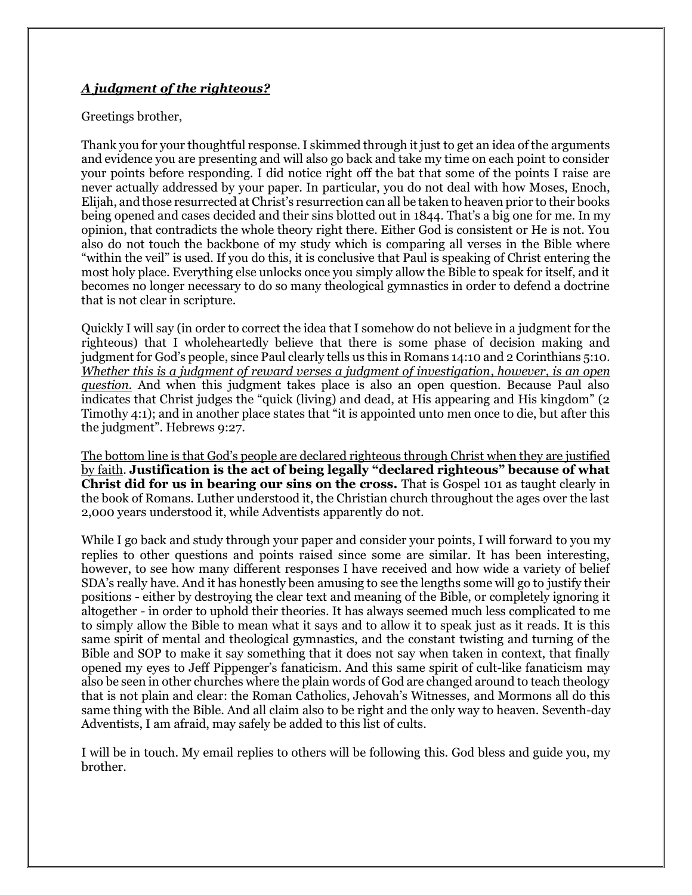# *A judgment of the righteous?*

### Greetings brother,

Thank you for your thoughtful response. I skimmed through it just to get an idea of the arguments and evidence you are presenting and will also go back and take my time on each point to consider your points before responding. I did notice right off the bat that some of the points I raise are never actually addressed by your paper. In particular, you do not deal with how Moses, Enoch, Elijah, and those resurrected at Christ's resurrection can all be taken to heaven prior to their books being opened and cases decided and their sins blotted out in 1844. That's a big one for me. In my opinion, that contradicts the whole theory right there. Either God is consistent or He is not. You also do not touch the backbone of my study which is comparing all verses in the Bible where "within the veil" is used. If you do this, it is conclusive that Paul is speaking of Christ entering the most holy place. Everything else unlocks once you simply allow the Bible to speak for itself, and it becomes no longer necessary to do so many theological gymnastics in order to defend a doctrine that is not clear in scripture.

Quickly I will say (in order to correct the idea that I somehow do not believe in a judgment for the righteous) that I wholeheartedly believe that there is some phase of decision making and judgment for God's people, since Paul clearly tells us this in Romans 14:10 and 2 Corinthians 5:10. *Whether this is a judgment of reward verses a judgment of investigation, however, is an open question.* And when this judgment takes place is also an open question. Because Paul also indicates that Christ judges the "quick (living) and dead, at His appearing and His kingdom" (2 Timothy 4:1); and in another place states that "it is appointed unto men once to die, but after this the judgment". Hebrews 9:27.

The bottom line is that God's people are declared righteous through Christ when they are justified by faith. **Justification is the act of being legally "declared righteous" because of what Christ did for us in bearing our sins on the cross.** That is Gospel 101 as taught clearly in the book of Romans. Luther understood it, the Christian church throughout the ages over the last 2,000 years understood it, while Adventists apparently do not.

While I go back and study through your paper and consider your points, I will forward to you my replies to other questions and points raised since some are similar. It has been interesting, however, to see how many different responses I have received and how wide a variety of belief SDA's really have. And it has honestly been amusing to see the lengths some will go to justify their positions - either by destroying the clear text and meaning of the Bible, or completely ignoring it altogether - in order to uphold their theories. It has always seemed much less complicated to me to simply allow the Bible to mean what it says and to allow it to speak just as it reads. It is this same spirit of mental and theological gymnastics, and the constant twisting and turning of the Bible and SOP to make it say something that it does not say when taken in context, that finally opened my eyes to Jeff Pippenger's fanaticism. And this same spirit of cult-like fanaticism may also be seen in other churches where the plain words of God are changed around to teach theology that is not plain and clear: the Roman Catholics, Jehovah's Witnesses, and Mormons all do this same thing with the Bible. And all claim also to be right and the only way to heaven. Seventh-day Adventists, I am afraid, may safely be added to this list of cults.

I will be in touch. My email replies to others will be following this. God bless and guide you, my brother.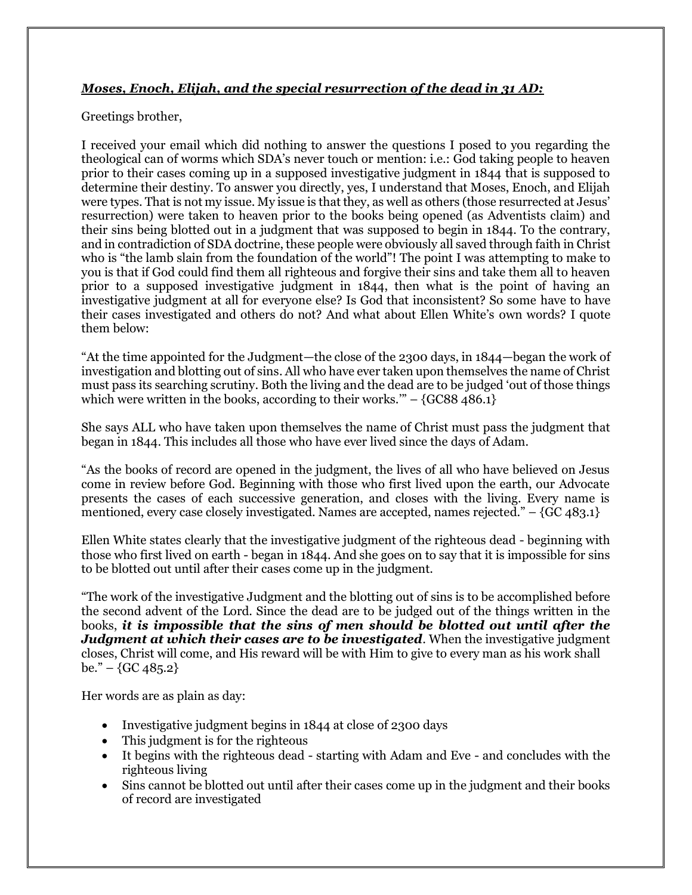# *Moses, Enoch, Elijah, and the special resurrection of the dead in 31 AD:*

Greetings brother,

I received your email which did nothing to answer the questions I posed to you regarding the theological can of worms which SDA's never touch or mention: i.e.: God taking people to heaven prior to their cases coming up in a supposed investigative judgment in 1844 that is supposed to determine their destiny. To answer you directly, yes, I understand that Moses, Enoch, and Elijah were types. That is not my issue. My issue is that they, as well as others (those resurrected at Jesus' resurrection) were taken to heaven prior to the books being opened (as Adventists claim) and their sins being blotted out in a judgment that was supposed to begin in 1844. To the contrary, and in contradiction of SDA doctrine, these people were obviously all saved through faith in Christ who is "the lamb slain from the foundation of the world"! The point I was attempting to make to you is that if God could find them all righteous and forgive their sins and take them all to heaven prior to a supposed investigative judgment in 1844, then what is the point of having an investigative judgment at all for everyone else? Is God that inconsistent? So some have to have their cases investigated and others do not? And what about Ellen White's own words? I quote them below:

"At the time appointed for the Judgment—the close of the 2300 days, in 1844—began the work of investigation and blotting out of sins. All who have ever taken upon themselves the name of Christ must pass its searching scrutiny. Both the living and the dead are to be judged 'out of those things which were written in the books, according to their works."  $-$  {GC88 486.1}

She says ALL who have taken upon themselves the name of Christ must pass the judgment that began in 1844. This includes all those who have ever lived since the days of Adam.

"As the books of record are opened in the judgment, the lives of all who have believed on Jesus come in review before God. Beginning with those who first lived upon the earth, our Advocate presents the cases of each successive generation, and closes with the living. Every name is mentioned, every case closely investigated. Names are accepted, names rejected."  $-$  {GC 483.1}

Ellen White states clearly that the investigative judgment of the righteous dead - beginning with those who first lived on earth - began in 1844. And she goes on to say that it is impossible for sins to be blotted out until after their cases come up in the judgment.

"The work of the investigative Judgment and the blotting out of sins is to be accomplished before the second advent of the Lord. Since the dead are to be judged out of the things written in the books, *it is impossible that the sins of men should be blotted out until after the Judgment at which their cases are to be investigated*. When the investigative judgment closes, Christ will come, and His reward will be with Him to give to every man as his work shall be." –  ${GC 485.2}$ 

Her words are as plain as day:

- Investigative judgment begins in 1844 at close of 2300 days
- This judgment is for the righteous
- It begins with the righteous dead starting with Adam and Eve and concludes with the righteous living
- Sins cannot be blotted out until after their cases come up in the judgment and their books of record are investigated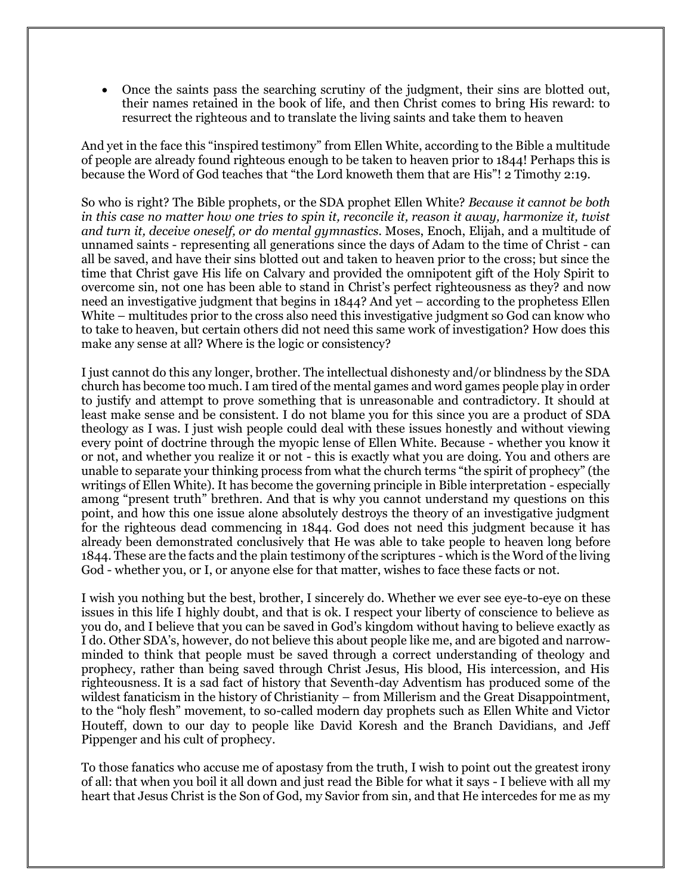Once the saints pass the searching scrutiny of the judgment, their sins are blotted out, their names retained in the book of life, and then Christ comes to bring His reward: to resurrect the righteous and to translate the living saints and take them to heaven

And yet in the face this "inspired testimony" from Ellen White, according to the Bible a multitude of people are already found righteous enough to be taken to heaven prior to 1844! Perhaps this is because the Word of God teaches that "the Lord knoweth them that are His"! 2 Timothy 2:19.

So who is right? The Bible prophets, or the SDA prophet Ellen White? *Because it cannot be both in this case no matter how one tries to spin it, reconcile it, reason it away, harmonize it, twist and turn it, deceive oneself, or do mental gymnastics.* Moses, Enoch, Elijah, and a multitude of unnamed saints - representing all generations since the days of Adam to the time of Christ - can all be saved, and have their sins blotted out and taken to heaven prior to the cross; but since the time that Christ gave His life on Calvary and provided the omnipotent gift of the Holy Spirit to overcome sin, not one has been able to stand in Christ's perfect righteousness as they? and now need an investigative judgment that begins in 1844? And yet – according to the prophetess Ellen White – multitudes prior to the cross also need this investigative judgment so God can know who to take to heaven, but certain others did not need this same work of investigation? How does this make any sense at all? Where is the logic or consistency?

I just cannot do this any longer, brother. The intellectual dishonesty and/or blindness by the SDA church has become too much. I am tired of the mental games and word games people play in order to justify and attempt to prove something that is unreasonable and contradictory. It should at least make sense and be consistent. I do not blame you for this since you are a product of SDA theology as I was. I just wish people could deal with these issues honestly and without viewing every point of doctrine through the myopic lense of Ellen White. Because - whether you know it or not, and whether you realize it or not - this is exactly what you are doing. You and others are unable to separate your thinking process from what the church terms "the spirit of prophecy" (the writings of Ellen White). It has become the governing principle in Bible interpretation - especially among "present truth" brethren. And that is why you cannot understand my questions on this point, and how this one issue alone absolutely destroys the theory of an investigative judgment for the righteous dead commencing in 1844. God does not need this judgment because it has already been demonstrated conclusively that He was able to take people to heaven long before 1844. These are the facts and the plain testimony of the scriptures - which is the Word of the living God - whether you, or I, or anyone else for that matter, wishes to face these facts or not.

I wish you nothing but the best, brother, I sincerely do. Whether we ever see eye-to-eye on these issues in this life I highly doubt, and that is ok. I respect your liberty of conscience to believe as you do, and I believe that you can be saved in God's kingdom without having to believe exactly as I do. Other SDA's, however, do not believe this about people like me, and are bigoted and narrowminded to think that people must be saved through a correct understanding of theology and prophecy, rather than being saved through Christ Jesus, His blood, His intercession, and His righteousness. It is a sad fact of history that Seventh-day Adventism has produced some of the wildest fanaticism in the history of Christianity – from Millerism and the Great Disappointment, to the "holy flesh" movement, to so-called modern day prophets such as Ellen White and Victor Houteff, down to our day to people like David Koresh and the Branch Davidians, and Jeff Pippenger and his cult of prophecy.

To those fanatics who accuse me of apostasy from the truth, I wish to point out the greatest irony of all: that when you boil it all down and just read the Bible for what it says - I believe with all my heart that Jesus Christ is the Son of God, my Savior from sin, and that He intercedes for me as my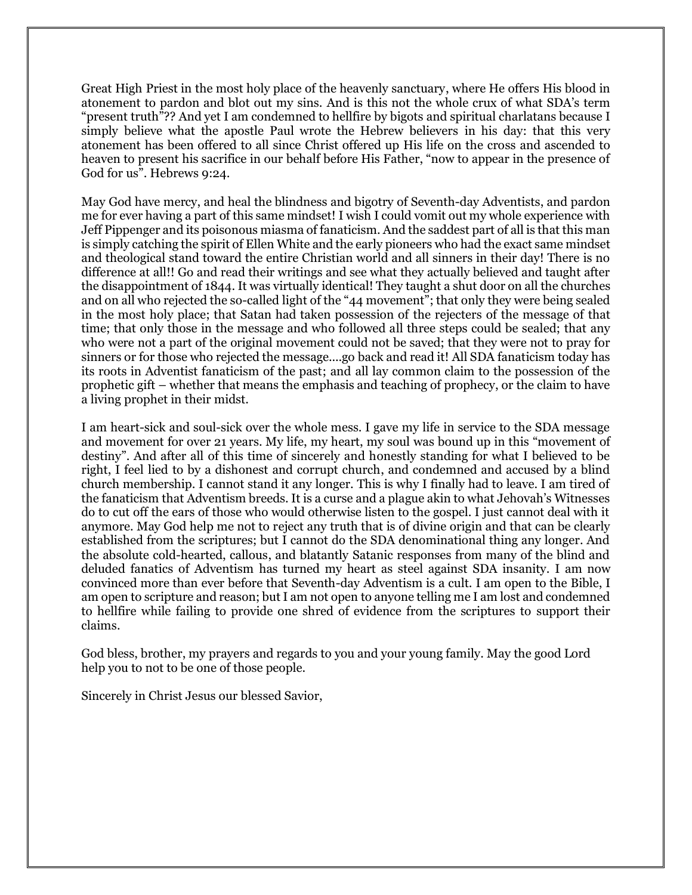Great High Priest in the most holy place of the heavenly sanctuary, where He offers His blood in atonement to pardon and blot out my sins. And is this not the whole crux of what SDA's term "present truth"?? And yet I am condemned to hellfire by bigots and spiritual charlatans because I simply believe what the apostle Paul wrote the Hebrew believers in his day: that this very atonement has been offered to all since Christ offered up His life on the cross and ascended to heaven to present his sacrifice in our behalf before His Father, "now to appear in the presence of God for us". Hebrews 9:24.

May God have mercy, and heal the blindness and bigotry of Seventh-day Adventists, and pardon me for ever having a part of this same mindset! I wish I could vomit out my whole experience with Jeff Pippenger and its poisonous miasma of fanaticism. And the saddest part of all is that this man is simply catching the spirit of Ellen White and the early pioneers who had the exact same mindset and theological stand toward the entire Christian world and all sinners in their day! There is no difference at all!! Go and read their writings and see what they actually believed and taught after the disappointment of 1844. It was virtually identical! They taught a shut door on all the churches and on all who rejected the so-called light of the "44 movement"; that only they were being sealed in the most holy place; that Satan had taken possession of the rejecters of the message of that time; that only those in the message and who followed all three steps could be sealed; that any who were not a part of the original movement could not be saved; that they were not to pray for sinners or for those who rejected the message....go back and read it! All SDA fanaticism today has its roots in Adventist fanaticism of the past; and all lay common claim to the possession of the prophetic gift – whether that means the emphasis and teaching of prophecy, or the claim to have a living prophet in their midst.

I am heart-sick and soul-sick over the whole mess. I gave my life in service to the SDA message and movement for over 21 years. My life, my heart, my soul was bound up in this "movement of destiny". And after all of this time of sincerely and honestly standing for what I believed to be right, I feel lied to by a dishonest and corrupt church, and condemned and accused by a blind church membership. I cannot stand it any longer. This is why I finally had to leave. I am tired of the fanaticism that Adventism breeds. It is a curse and a plague akin to what Jehovah's Witnesses do to cut off the ears of those who would otherwise listen to the gospel. I just cannot deal with it anymore. May God help me not to reject any truth that is of divine origin and that can be clearly established from the scriptures; but I cannot do the SDA denominational thing any longer. And the absolute cold-hearted, callous, and blatantly Satanic responses from many of the blind and deluded fanatics of Adventism has turned my heart as steel against SDA insanity. I am now convinced more than ever before that Seventh-day Adventism is a cult. I am open to the Bible, I am open to scripture and reason; but I am not open to anyone telling me I am lost and condemned to hellfire while failing to provide one shred of evidence from the scriptures to support their claims.

God bless, brother, my prayers and regards to you and your young family. May the good Lord help you to not to be one of those people.

Sincerely in Christ Jesus our blessed Savior,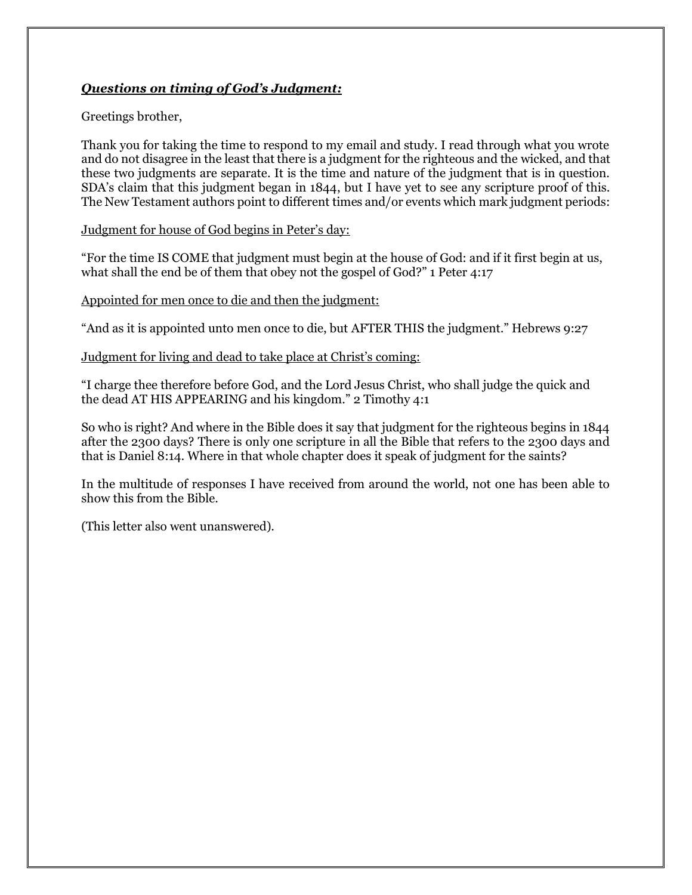# *Questions on timing of God's Judgment:*

Greetings brother,

Thank you for taking the time to respond to my email and study. I read through what you wrote and do not disagree in the least that there is a judgment for the righteous and the wicked, and that these two judgments are separate. It is the time and nature of the judgment that is in question. SDA's claim that this judgment began in 1844, but I have yet to see any scripture proof of this. The New Testament authors point to different times and/or events which mark judgment periods:

Judgment for house of God begins in Peter's day:

"For the time IS COME that judgment must begin at the house of God: and if it first begin at us, what shall the end be of them that obey not the gospel of God?" 1 Peter 4:17

Appointed for men once to die and then the judgment:

"And as it is appointed unto men once to die, but AFTER THIS the judgment." Hebrews 9:27

Judgment for living and dead to take place at Christ's coming:

"I charge thee therefore before God, and the Lord Jesus Christ, who shall judge the quick and the dead AT HIS APPEARING and his kingdom." 2 Timothy 4:1

So who is right? And where in the Bible does it say that judgment for the righteous begins in 1844 after the 2300 days? There is only one scripture in all the Bible that refers to the 2300 days and that is Daniel 8:14. Where in that whole chapter does it speak of judgment for the saints?

In the multitude of responses I have received from around the world, not one has been able to show this from the Bible.

(This letter also went unanswered).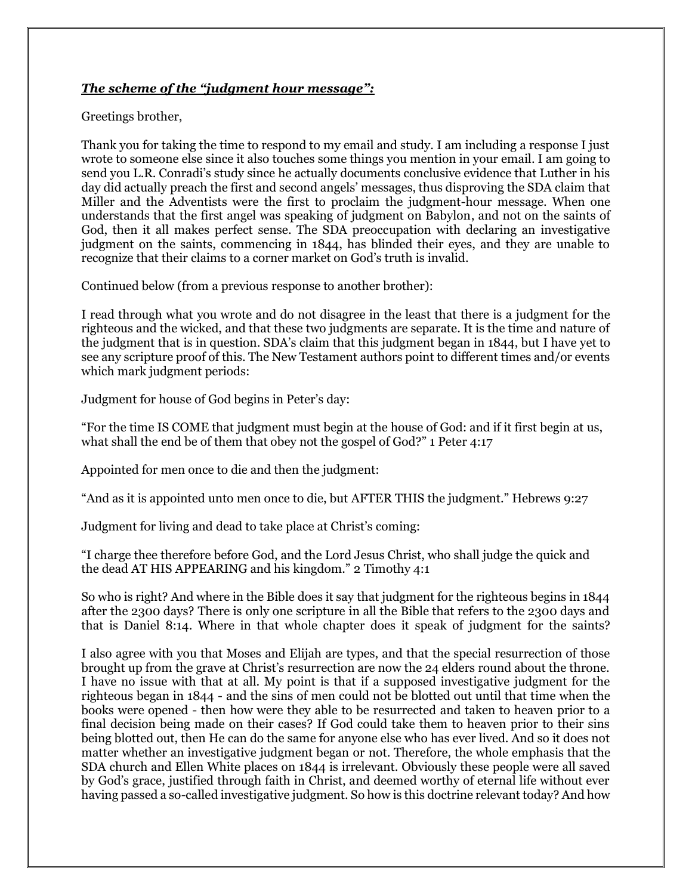# *The scheme of the "judgment hour message":*

Greetings brother,

Thank you for taking the time to respond to my email and study. I am including a response I just wrote to someone else since it also touches some things you mention in your email. I am going to send you L.R. Conradi's study since he actually documents conclusive evidence that Luther in his day did actually preach the first and second angels' messages, thus disproving the SDA claim that Miller and the Adventists were the first to proclaim the judgment-hour message. When one understands that the first angel was speaking of judgment on Babylon, and not on the saints of God, then it all makes perfect sense. The SDA preoccupation with declaring an investigative judgment on the saints, commencing in 1844, has blinded their eyes, and they are unable to recognize that their claims to a corner market on God's truth is invalid.

Continued below (from a previous response to another brother):

I read through what you wrote and do not disagree in the least that there is a judgment for the righteous and the wicked, and that these two judgments are separate. It is the time and nature of the judgment that is in question. SDA's claim that this judgment began in 1844, but I have yet to see any scripture proof of this. The New Testament authors point to different times and/or events which mark judgment periods:

Judgment for house of God begins in Peter's day:

"For the time IS COME that judgment must begin at the house of God: and if it first begin at us, what shall the end be of them that obey not the gospel of God?" 1 Peter 4:17

Appointed for men once to die and then the judgment:

"And as it is appointed unto men once to die, but AFTER THIS the judgment." Hebrews 9:27

Judgment for living and dead to take place at Christ's coming:

"I charge thee therefore before God, and the Lord Jesus Christ, who shall judge the quick and the dead AT HIS APPEARING and his kingdom." 2 Timothy 4:1

So who is right? And where in the Bible does it say that judgment for the righteous begins in 1844 after the 2300 days? There is only one scripture in all the Bible that refers to the 2300 days and that is Daniel 8:14. Where in that whole chapter does it speak of judgment for the saints?

I also agree with you that Moses and Elijah are types, and that the special resurrection of those brought up from the grave at Christ's resurrection are now the 24 elders round about the throne. I have no issue with that at all. My point is that if a supposed investigative judgment for the righteous began in 1844 - and the sins of men could not be blotted out until that time when the books were opened - then how were they able to be resurrected and taken to heaven prior to a final decision being made on their cases? If God could take them to heaven prior to their sins being blotted out, then He can do the same for anyone else who has ever lived. And so it does not matter whether an investigative judgment began or not. Therefore, the whole emphasis that the SDA church and Ellen White places on 1844 is irrelevant. Obviously these people were all saved by God's grace, justified through faith in Christ, and deemed worthy of eternal life without ever having passed a so-called investigative judgment. So how is this doctrine relevant today? And how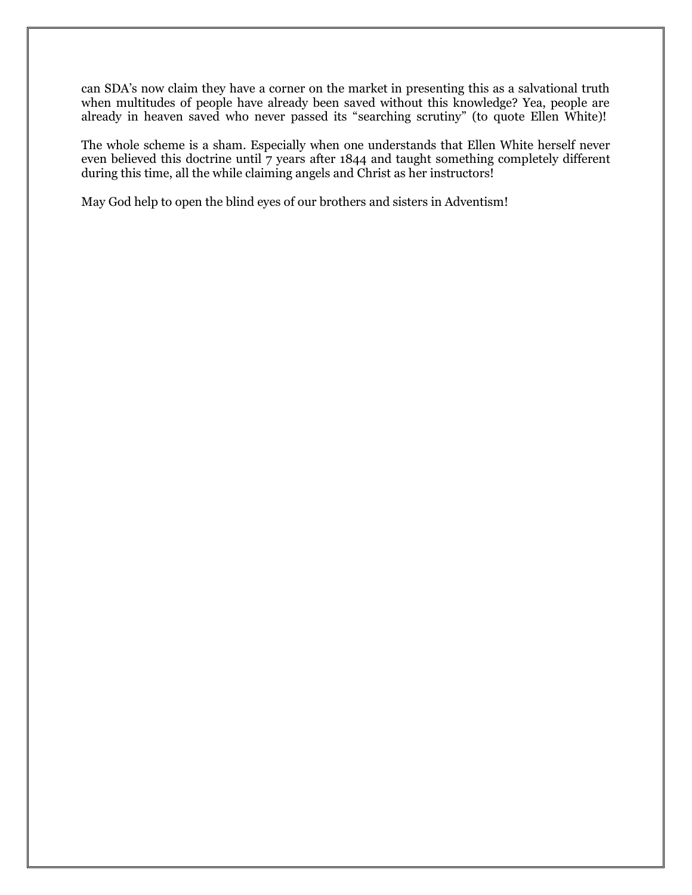can SDA's now claim they have a corner on the market in presenting this as a salvational truth when multitudes of people have already been saved without this knowledge? Yea, people are already in heaven saved who never passed its "searching scrutiny" (to quote Ellen White)!

The whole scheme is a sham. Especially when one understands that Ellen White herself never even believed this doctrine until 7 years after 1844 and taught something completely different during this time, all the while claiming angels and Christ as her instructors!

May God help to open the blind eyes of our brothers and sisters in Adventism!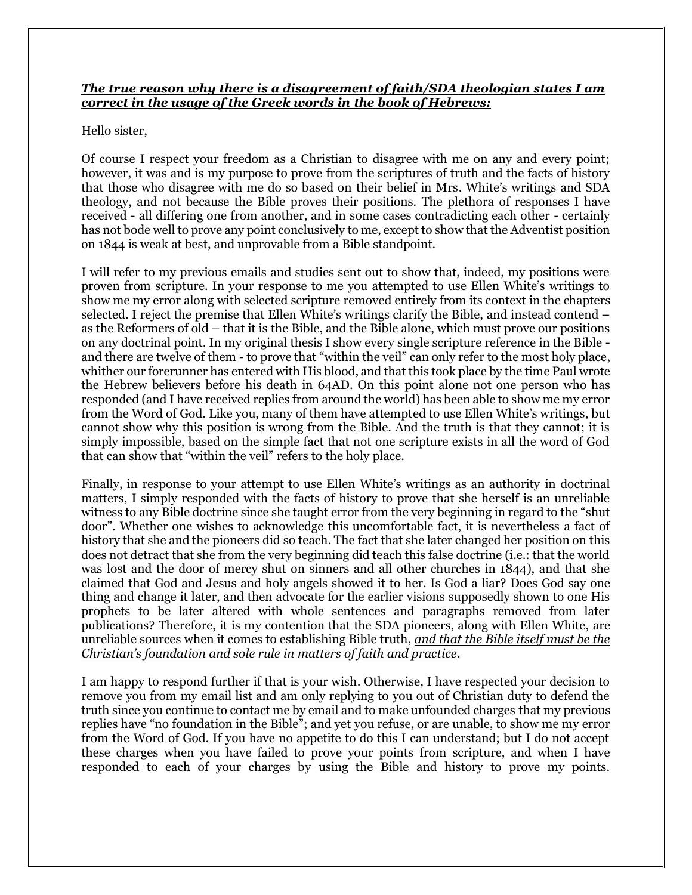### *The true reason why there is a disagreement of faith/SDA theologian states I am correct in the usage of the Greek words in the book of Hebrews:*

Hello sister,

Of course I respect your freedom as a Christian to disagree with me on any and every point; however, it was and is my purpose to prove from the scriptures of truth and the facts of history that those who disagree with me do so based on their belief in Mrs. White's writings and SDA theology, and not because the Bible proves their positions. The plethora of responses I have received - all differing one from another, and in some cases contradicting each other - certainly has not bode well to prove any point conclusively to me, except to show that the Adventist position on 1844 is weak at best, and unprovable from a Bible standpoint.

I will refer to my previous emails and studies sent out to show that, indeed, my positions were proven from scripture. In your response to me you attempted to use Ellen White's writings to show me my error along with selected scripture removed entirely from its context in the chapters selected. I reject the premise that Ellen White's writings clarify the Bible, and instead contend – as the Reformers of old – that it is the Bible, and the Bible alone, which must prove our positions on any doctrinal point. In my original thesis I show every single scripture reference in the Bible and there are twelve of them - to prove that "within the veil" can only refer to the most holy place, whither our forerunner has entered with His blood, and that this took place by the time Paul wrote the Hebrew believers before his death in 64AD. On this point alone not one person who has responded (and I have received replies from around the world) has been able to show me my error from the Word of God. Like you, many of them have attempted to use Ellen White's writings, but cannot show why this position is wrong from the Bible. And the truth is that they cannot; it is simply impossible, based on the simple fact that not one scripture exists in all the word of God that can show that "within the veil" refers to the holy place.

Finally, in response to your attempt to use Ellen White's writings as an authority in doctrinal matters, I simply responded with the facts of history to prove that she herself is an unreliable witness to any Bible doctrine since she taught error from the very beginning in regard to the "shut door". Whether one wishes to acknowledge this uncomfortable fact, it is nevertheless a fact of history that she and the pioneers did so teach. The fact that she later changed her position on this does not detract that she from the very beginning did teach this false doctrine (i.e.: that the world was lost and the door of mercy shut on sinners and all other churches in 1844), and that she claimed that God and Jesus and holy angels showed it to her. Is God a liar? Does God say one thing and change it later, and then advocate for the earlier visions supposedly shown to one His prophets to be later altered with whole sentences and paragraphs removed from later publications? Therefore, it is my contention that the SDA pioneers, along with Ellen White, are unreliable sources when it comes to establishing Bible truth, *and that the Bible itself must be the Christian's foundation and sole rule in matters of faith and practice*.

I am happy to respond further if that is your wish. Otherwise, I have respected your decision to remove you from my email list and am only replying to you out of Christian duty to defend the truth since you continue to contact me by email and to make unfounded charges that my previous replies have "no foundation in the Bible"; and yet you refuse, or are unable, to show me my error from the Word of God. If you have no appetite to do this I can understand; but I do not accept these charges when you have failed to prove your points from scripture, and when I have responded to each of your charges by using the Bible and history to prove my points.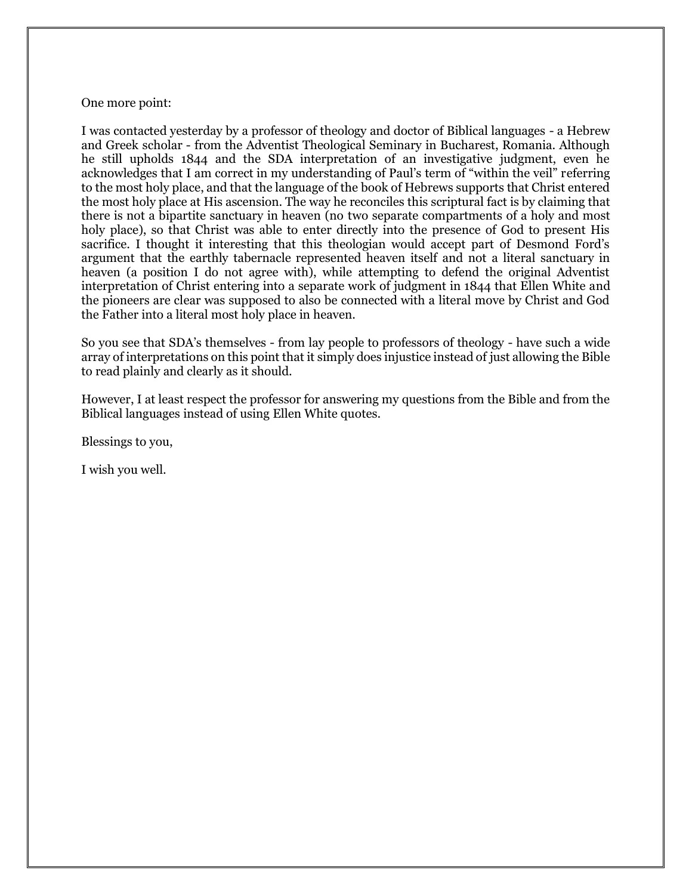One more point:

I was contacted yesterday by a professor of theology and doctor of Biblical languages - a Hebrew and Greek scholar - from the Adventist Theological Seminary in Bucharest, Romania. Although he still upholds 1844 and the SDA interpretation of an investigative judgment, even he acknowledges that I am correct in my understanding of Paul's term of "within the veil" referring to the most holy place, and that the language of the book of Hebrews supports that Christ entered the most holy place at His ascension. The way he reconciles this scriptural fact is by claiming that there is not a bipartite sanctuary in heaven (no two separate compartments of a holy and most holy place), so that Christ was able to enter directly into the presence of God to present His sacrifice. I thought it interesting that this theologian would accept part of Desmond Ford's argument that the earthly tabernacle represented heaven itself and not a literal sanctuary in heaven (a position I do not agree with), while attempting to defend the original Adventist interpretation of Christ entering into a separate work of judgment in 1844 that Ellen White and the pioneers are clear was supposed to also be connected with a literal move by Christ and God the Father into a literal most holy place in heaven.

So you see that SDA's themselves - from lay people to professors of theology - have such a wide array of interpretations on this point that it simply does injustice instead of just allowing the Bible to read plainly and clearly as it should.

However, I at least respect the professor for answering my questions from the Bible and from the Biblical languages instead of using Ellen White quotes.

Blessings to you,

I wish you well.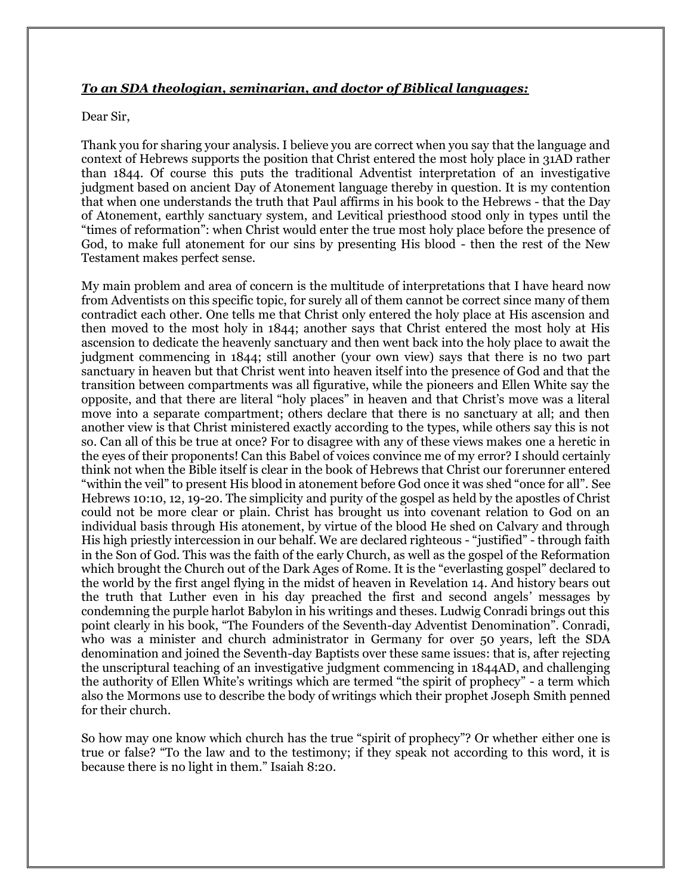### *To an SDA theologian, seminarian, and doctor of Biblical languages:*

Dear Sir,

Thank you for sharing your analysis. I believe you are correct when you say that the language and context of Hebrews supports the position that Christ entered the most holy place in 31AD rather than 1844. Of course this puts the traditional Adventist interpretation of an investigative judgment based on ancient Day of Atonement language thereby in question. It is my contention that when one understands the truth that Paul affirms in his book to the Hebrews - that the Day of Atonement, earthly sanctuary system, and Levitical priesthood stood only in types until the "times of reformation": when Christ would enter the true most holy place before the presence of God, to make full atonement for our sins by presenting His blood - then the rest of the New Testament makes perfect sense.

My main problem and area of concern is the multitude of interpretations that I have heard now from Adventists on this specific topic, for surely all of them cannot be correct since many of them contradict each other. One tells me that Christ only entered the holy place at His ascension and then moved to the most holy in 1844; another says that Christ entered the most holy at His ascension to dedicate the heavenly sanctuary and then went back into the holy place to await the judgment commencing in 1844; still another (your own view) says that there is no two part sanctuary in heaven but that Christ went into heaven itself into the presence of God and that the transition between compartments was all figurative, while the pioneers and Ellen White say the opposite, and that there are literal "holy places" in heaven and that Christ's move was a literal move into a separate compartment; others declare that there is no sanctuary at all; and then another view is that Christ ministered exactly according to the types, while others say this is not so. Can all of this be true at once? For to disagree with any of these views makes one a heretic in the eyes of their proponents! Can this Babel of voices convince me of my error? I should certainly think not when the Bible itself is clear in the book of Hebrews that Christ our forerunner entered "within the veil" to present His blood in atonement before God once it was shed "once for all". See Hebrews 10:10, 12, 19-20. The simplicity and purity of the gospel as held by the apostles of Christ could not be more clear or plain. Christ has brought us into covenant relation to God on an individual basis through His atonement, by virtue of the blood He shed on Calvary and through His high priestly intercession in our behalf. We are declared righteous - "justified" - through faith in the Son of God. This was the faith of the early Church, as well as the gospel of the Reformation which brought the Church out of the Dark Ages of Rome. It is the "everlasting gospel" declared to the world by the first angel flying in the midst of heaven in Revelation 14. And history bears out the truth that Luther even in his day preached the first and second angels' messages by condemning the purple harlot Babylon in his writings and theses. Ludwig Conradi brings out this point clearly in his book, "The Founders of the Seventh-day Adventist Denomination". Conradi, who was a minister and church administrator in Germany for over 50 years, left the SDA denomination and joined the Seventh-day Baptists over these same issues: that is, after rejecting the unscriptural teaching of an investigative judgment commencing in 1844AD, and challenging the authority of Ellen White's writings which are termed "the spirit of prophecy" - a term which also the Mormons use to describe the body of writings which their prophet Joseph Smith penned for their church.

So how may one know which church has the true "spirit of prophecy"? Or whether either one is true or false? "To the law and to the testimony; if they speak not according to this word, it is because there is no light in them." Isaiah 8:20.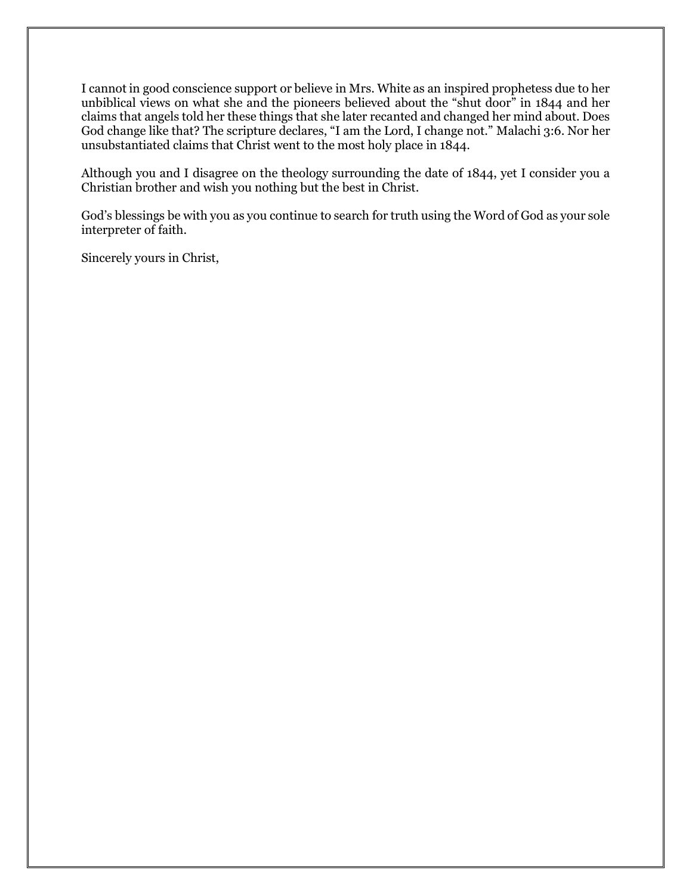I cannot in good conscience support or believe in Mrs. White as an inspired prophetess due to her unbiblical views on what she and the pioneers believed about the "shut door" in  $1844$  and her claims that angels told her these things that she later recanted and changed her mind about. Does God change like that? The scripture declares, "I am the Lord, I change not." Malachi 3:6. Nor her unsubstantiated claims that Christ went to the most holy place in 1844.

Although you and I disagree on the theology surrounding the date of 1844, yet I consider you a Christian brother and wish you nothing but the best in Christ.

God's blessings be with you as you continue to search for truth using the Word of God as your sole interpreter of faith.

Sincerely yours in Christ,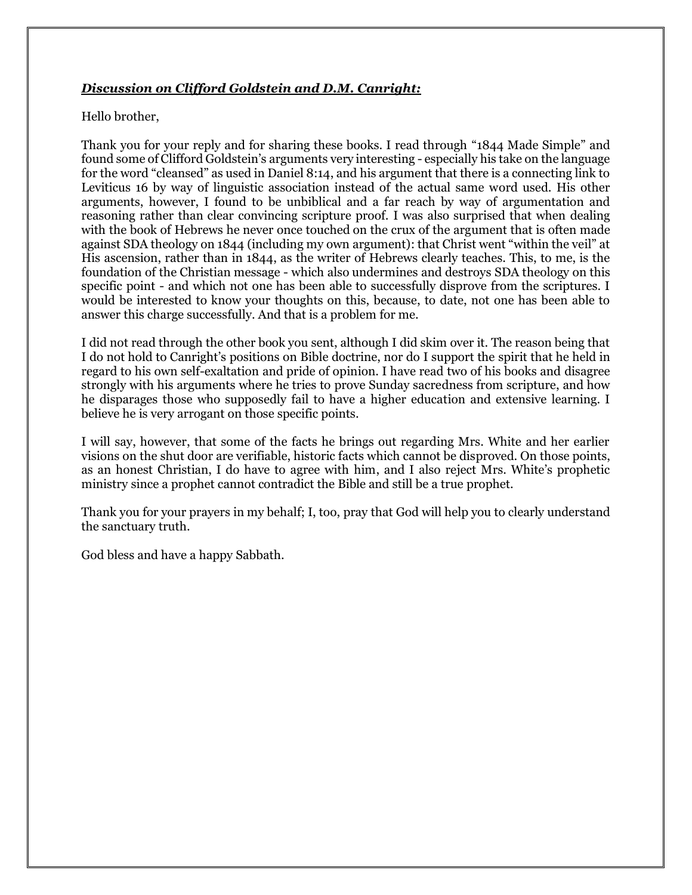# *Discussion on Clifford Goldstein and D.M. Canright:*

Hello brother,

Thank you for your reply and for sharing these books. I read through "1844 Made Simple" and found some of Clifford Goldstein's arguments very interesting - especially his take on the language for the word "cleansed" as used in Daniel 8:14, and his argument that there is a connecting link to Leviticus 16 by way of linguistic association instead of the actual same word used. His other arguments, however, I found to be unbiblical and a far reach by way of argumentation and reasoning rather than clear convincing scripture proof. I was also surprised that when dealing with the book of Hebrews he never once touched on the crux of the argument that is often made against SDA theology on 1844 (including my own argument): that Christ went "within the veil" at His ascension, rather than in 1844, as the writer of Hebrews clearly teaches. This, to me, is the foundation of the Christian message - which also undermines and destroys SDA theology on this specific point - and which not one has been able to successfully disprove from the scriptures. I would be interested to know your thoughts on this, because, to date, not one has been able to answer this charge successfully. And that is a problem for me.

I did not read through the other book you sent, although I did skim over it. The reason being that I do not hold to Canright's positions on Bible doctrine, nor do I support the spirit that he held in regard to his own self-exaltation and pride of opinion. I have read two of his books and disagree strongly with his arguments where he tries to prove Sunday sacredness from scripture, and how he disparages those who supposedly fail to have a higher education and extensive learning. I believe he is very arrogant on those specific points.

I will say, however, that some of the facts he brings out regarding Mrs. White and her earlier visions on the shut door are verifiable, historic facts which cannot be disproved. On those points, as an honest Christian, I do have to agree with him, and I also reject Mrs. White's prophetic ministry since a prophet cannot contradict the Bible and still be a true prophet.

Thank you for your prayers in my behalf; I, too, pray that God will help you to clearly understand the sanctuary truth.

God bless and have a happy Sabbath.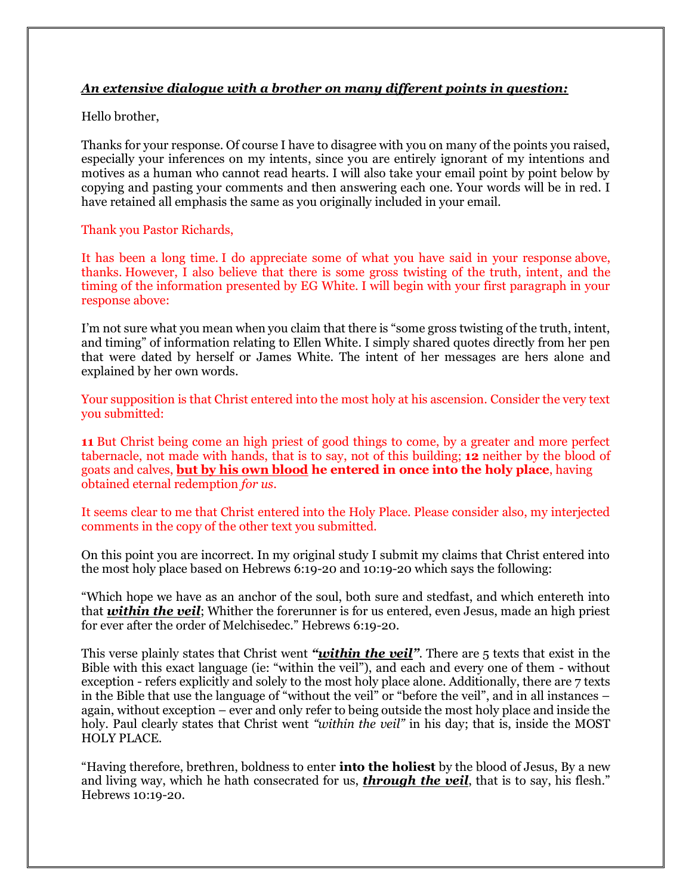### *An extensive dialogue with a brother on many different points in question:*

Hello brother,

Thanks for your response. Of course I have to disagree with you on many of the points you raised, especially your inferences on my intents, since you are entirely ignorant of my intentions and motives as a human who cannot read hearts. I will also take your email point by point below by copying and pasting your comments and then answering each one. Your words will be in red. I have retained all emphasis the same as you originally included in your email.

### Thank you Pastor Richards,

It has been a long time. I do appreciate some of what you have said in your response above, thanks. However, I also believe that there is some gross twisting of the truth, intent, and the timing of the information presented by EG White. I will begin with your first paragraph in your response above:

I'm not sure what you mean when you claim that there is "some gross twisting of the truth, intent, and timing" of information relating to Ellen White. I simply shared quotes directly from her pen that were dated by herself or James White. The intent of her messages are hers alone and explained by her own words.

Your supposition is that Christ entered into the most holy at his ascension. Consider the very text you submitted:

**11** But Christ being come an high priest of good things to come, by a greater and more perfect tabernacle, not made with hands, that is to say, not of this building; **12** neither by the blood of goats and calves, **but by his own blood he entered in once into the holy place**, having obtained eternal redemption *for us*.

It seems clear to me that Christ entered into the Holy Place. Please consider also, my interjected comments in the copy of the other text you submitted.

On this point you are incorrect. In my original study I submit my claims that Christ entered into the most holy place based on Hebrews 6:19-20 and 10:19-20 which says the following:

"Which hope we have as an anchor of the soul, both sure and stedfast, and which entereth into that *within the veil*; Whither the forerunner is for us entered, even Jesus, made an high priest for ever after the order of Melchisedec." Hebrews 6:19-20.

This verse plainly states that Christ went *"within the veil"*. There are 5 texts that exist in the Bible with this exact language (ie: "within the veil"), and each and every one of them - without exception - refers explicitly and solely to the most holy place alone. Additionally, there are 7 texts in the Bible that use the language of "without the veil" or "before the veil", and in all instances – again, without exception – ever and only refer to being outside the most holy place and inside the holy. Paul clearly states that Christ went *"within the veil"* in his day; that is, inside the MOST HOLY PLACE.

"Having therefore, brethren, boldness to enter **into the holiest** by the blood of Jesus, By a new and living way, which he hath consecrated for us, *through the veil*, that is to say, his flesh." Hebrews 10:19-20.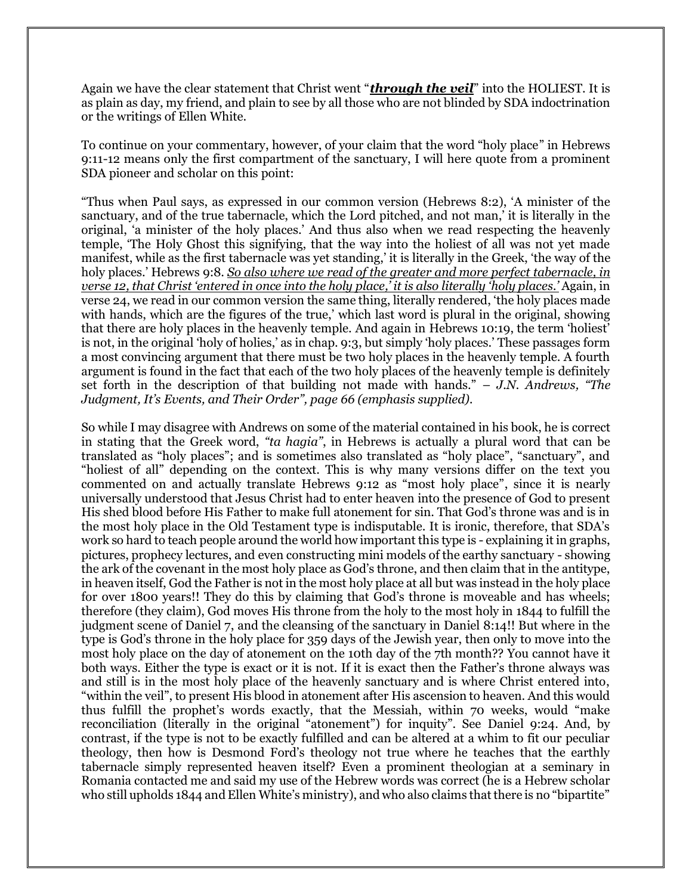Again we have the clear statement that Christ went "*through the veil*" into the HOLIEST. It is as plain as day, my friend, and plain to see by all those who are not blinded by SDA indoctrination or the writings of Ellen White.

To continue on your commentary, however, of your claim that the word "holy place" in Hebrews 9:11-12 means only the first compartment of the sanctuary, I will here quote from a prominent SDA pioneer and scholar on this point:

"Thus when Paul says, as expressed in our common version (Hebrews 8:2), 'A minister of the sanctuary, and of the true tabernacle, which the Lord pitched, and not man,' it is literally in the original, 'a minister of the holy places.' And thus also when we read respecting the heavenly temple, 'The Holy Ghost this signifying, that the way into the holiest of all was not yet made manifest, while as the first tabernacle was yet standing,' it is literally in the Greek, 'the way of the holy places.' Hebrews 9:8. *So also where we read of the greater and more perfect tabernacle, in verse 12, that Christ 'entered in once into the holy place,' it is also literally 'holy places.'* Again, in verse 24, we read in our common version the same thing, literally rendered, 'the holy places made with hands, which are the figures of the true,' which last word is plural in the original, showing that there are holy places in the heavenly temple. And again in Hebrews 10:19, the term 'holiest' is not, in the original 'holy of holies,' as in chap. 9:3, but simply 'holy places.' These passages form a most convincing argument that there must be two holy places in the heavenly temple. A fourth argument is found in the fact that each of the two holy places of the heavenly temple is definitely set forth in the description of that building not made with hands." – *J.N. Andrews, "The Judgment, It's Events, and Their Order", page 66 (emphasis supplied).*

So while I may disagree with Andrews on some of the material contained in his book, he is correct in stating that the Greek word, *"ta hagia"*, in Hebrews is actually a plural word that can be translated as "holy places"; and is sometimes also translated as "holy place", "sanctuary", and "holiest of all" depending on the context. This is why many versions differ on the text you commented on and actually translate Hebrews 9:12 as "most holy place", since it is nearly universally understood that Jesus Christ had to enter heaven into the presence of God to present His shed blood before His Father to make full atonement for sin. That God's throne was and is in the most holy place in the Old Testament type is indisputable. It is ironic, therefore, that SDA's work so hard to teach people around the world how important this type is - explaining it in graphs, pictures, prophecy lectures, and even constructing mini models of the earthy sanctuary - showing the ark of the covenant in the most holy place as God's throne, and then claim that in the antitype, in heaven itself, God the Father is not in the most holy place at all but was instead in the holy place for over 1800 years!! They do this by claiming that God's throne is moveable and has wheels; therefore (they claim), God moves His throne from the holy to the most holy in 1844 to fulfill the judgment scene of Daniel 7, and the cleansing of the sanctuary in Daniel 8:14!! But where in the type is God's throne in the holy place for 359 days of the Jewish year, then only to move into the most holy place on the day of atonement on the 10th day of the 7th month?? You cannot have it both ways. Either the type is exact or it is not. If it is exact then the Father's throne always was and still is in the most holy place of the heavenly sanctuary and is where Christ entered into, "within the veil", to present His blood in atonement after His ascension to heaven. And this would thus fulfill the prophet's words exactly, that the Messiah, within 70 weeks, would "make reconciliation (literally in the original "atonement") for inquity". See Daniel 9:24. And, by contrast, if the type is not to be exactly fulfilled and can be altered at a whim to fit our peculiar theology, then how is Desmond Ford's theology not true where he teaches that the earthly tabernacle simply represented heaven itself? Even a prominent theologian at a seminary in Romania contacted me and said my use of the Hebrew words was correct (he is a Hebrew scholar who still upholds 1844 and Ellen White's ministry), and who also claims that there is no "bipartite"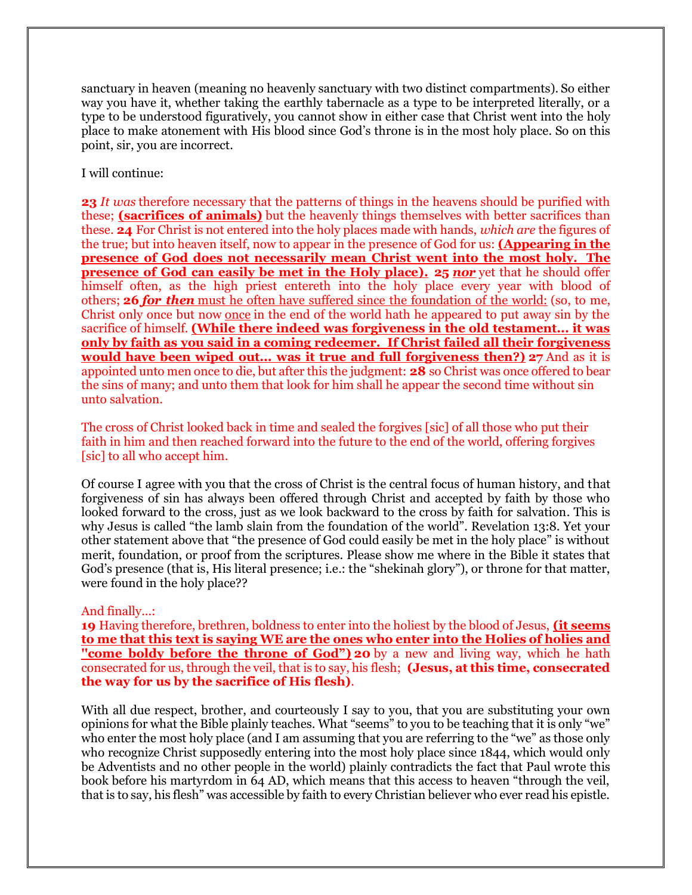sanctuary in heaven (meaning no heavenly sanctuary with two distinct compartments). So either way you have it, whether taking the earthly tabernacle as a type to be interpreted literally, or a type to be understood figuratively, you cannot show in either case that Christ went into the holy place to make atonement with His blood since God's throne is in the most holy place. So on this point, sir, you are incorrect.

I will continue:

**23** *It was* therefore necessary that the patterns of things in the heavens should be purified with these; **(sacrifices of animals)** but the heavenly things themselves with better sacrifices than these. **24** For Christ is not entered into the holy places made with hands, *which are* the figures of the true; but into heaven itself, now to appear in the presence of God for us: **(Appearing in the presence of God does not necessarily mean Christ went into the most holy. The presence of God can easily be met in the Holy place). 25** *nor* yet that he should offer himself often, as the high priest entereth into the holy place every year with blood of others; **26** *for then* must he often have suffered since the foundation of the world: (so, to me, Christ only once but now once in the end of the world hath he appeared to put away sin by the sacrifice of himself. **(While there indeed was forgiveness in the old testament... it was only by faith as you said in a coming redeemer. If Christ failed all their forgiveness would have been wiped out... was it true and full forgiveness then?) 27** And as it is appointed unto men once to die, but after this the judgment: **28** so Christ was once offered to bear the sins of many; and unto them that look for him shall he appear the second time without sin unto salvation.

The cross of Christ looked back in time and sealed the forgives [sic] of all those who put their faith in him and then reached forward into the future to the end of the world, offering forgives [sic] to all who accept him.

Of course I agree with you that the cross of Christ is the central focus of human history, and that forgiveness of sin has always been offered through Christ and accepted by faith by those who looked forward to the cross, just as we look backward to the cross by faith for salvation. This is why Jesus is called "the lamb slain from the foundation of the world". Revelation 13:8. Yet your other statement above that "the presence of God could easily be met in the holy place" is without merit, foundation, or proof from the scriptures. Please show me where in the Bible it states that God's presence (that is, His literal presence; i.e.: the "shekinah glory"), or throne for that matter, were found in the holy place??

#### And finally...:

**19** Having therefore, brethren, boldness to enter into the holiest by the blood of Jesus, **(it seems to me that this text is saying WE are the ones who enter into the Holies of holies and ''come boldy before the throne of God") 20** by a new and living way, which he hath consecrated for us, through the veil, that is to say, his flesh; **(Jesus, at this time, consecrated the way for us by the sacrifice of His flesh)**.

With all due respect, brother, and courteously I say to you, that you are substituting your own opinions for what the Bible plainly teaches. What "seems" to you to be teaching that it is only "we" who enter the most holy place (and I am assuming that you are referring to the "we" as those only who recognize Christ supposedly entering into the most holy place since 1844, which would only be Adventists and no other people in the world) plainly contradicts the fact that Paul wrote this book before his martyrdom in 64 AD, which means that this access to heaven "through the veil, that is to say, his flesh" was accessible by faith to every Christian believer who ever read his epistle.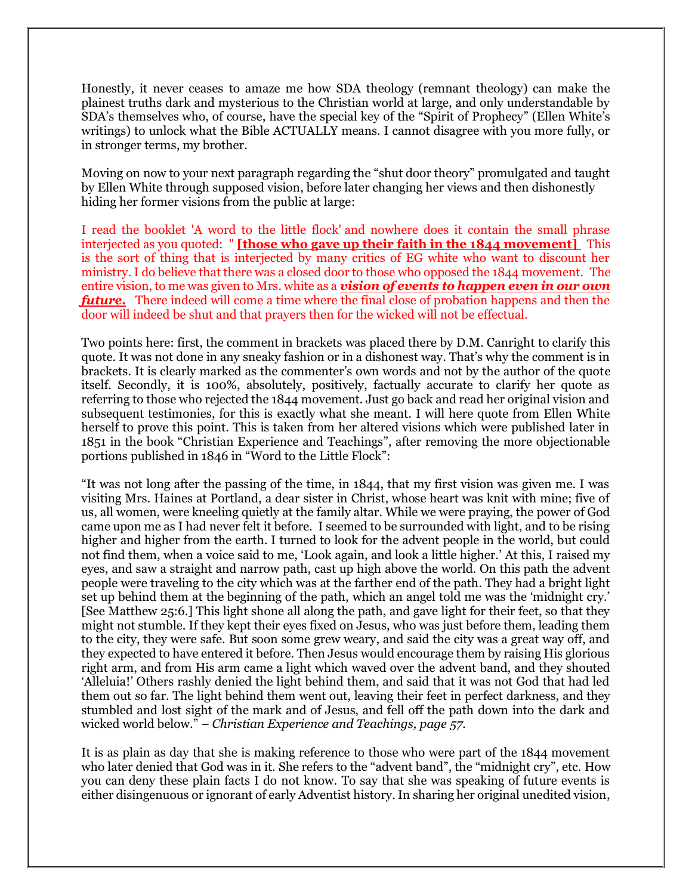Honestly, it never ceases to amaze me how SDA theology (remnant theology) can make the plainest truths dark and mysterious to the Christian world at large, and only understandable by SDA's themselves who, of course, have the special key of the "Spirit of Prophecy" (Ellen White's writings) to unlock what the Bible ACTUALLY means. I cannot disagree with you more fully, or in stronger terms, my brother.

Moving on now to your next paragraph regarding the "shut door theory" promulgated and taught by Ellen White through supposed vision, before later changing her views and then dishonestly hiding her former visions from the public at large:

I read the booklet 'A word to the little flock' and nowhere does it contain the small phrase interjected as you quoted: " **[those who gave up their faith in the 1844 movement]** This is the sort of thing that is interjected by many critics of EG white who want to discount her ministry. I do believe that there was a closed door to those who opposed the 1844 movement. The entire vision, to me was given to Mrs. white as a *vision of events to happen even in our own future.* There indeed will come a time where the final close of probation happens and then the door will indeed be shut and that prayers then for the wicked will not be effectual.

Two points here: first, the comment in brackets was placed there by D.M. Canright to clarify this quote. It was not done in any sneaky fashion or in a dishonest way. That's why the comment is in brackets. It is clearly marked as the commenter's own words and not by the author of the quote itself. Secondly, it is 100%, absolutely, positively, factually accurate to clarify her quote as referring to those who rejected the 1844 movement. Just go back and read her original vision and subsequent testimonies, for this is exactly what she meant. I will here quote from Ellen White herself to prove this point. This is taken from her altered visions which were published later in 1851 in the book "Christian Experience and Teachings", after removing the more objectionable portions published in 1846 in "Word to the Little Flock":

"It was not long after the passing of the time, in 1844, that my first vision was given me. I was visiting Mrs. Haines at Portland, a dear sister in Christ, whose heart was knit with mine; five of us, all women, were kneeling quietly at the family altar. While we were praying, the power of God came upon me as I had never felt it before. I seemed to be surrounded with light, and to be rising higher and higher from the earth. I turned to look for the advent people in the world, but could not find them, when a voice said to me, 'Look again, and look a little higher.' At this, I raised my eyes, and saw a straight and narrow path, cast up high above the world. On this path the advent people were traveling to the city which was at the farther end of the path. They had a bright light set up behind them at the beginning of the path, which an angel told me was the 'midnight cry.' [See Matthew 25:6.] This light shone all along the path, and gave light for their feet, so that they might not stumble. If they kept their eyes fixed on Jesus, who was just before them, leading them to the city, they were safe. But soon some grew weary, and said the city was a great way off, and they expected to have entered it before. Then Jesus would encourage them by raising His glorious right arm, and from His arm came a light which waved over the advent band, and they shouted 'Alleluia!' Others rashly denied the light behind them, and said that it was not God that had led them out so far. The light behind them went out, leaving their feet in perfect darkness, and they stumbled and lost sight of the mark and of Jesus, and fell off the path down into the dark and wicked world below." – *Christian Experience and Teachings, page 57.*

It is as plain as day that she is making reference to those who were part of the 1844 movement who later denied that God was in it. She refers to the "advent band", the "midnight cry", etc. How you can deny these plain facts I do not know. To say that she was speaking of future events is either disingenuous or ignorant of early Adventist history. In sharing her original unedited vision,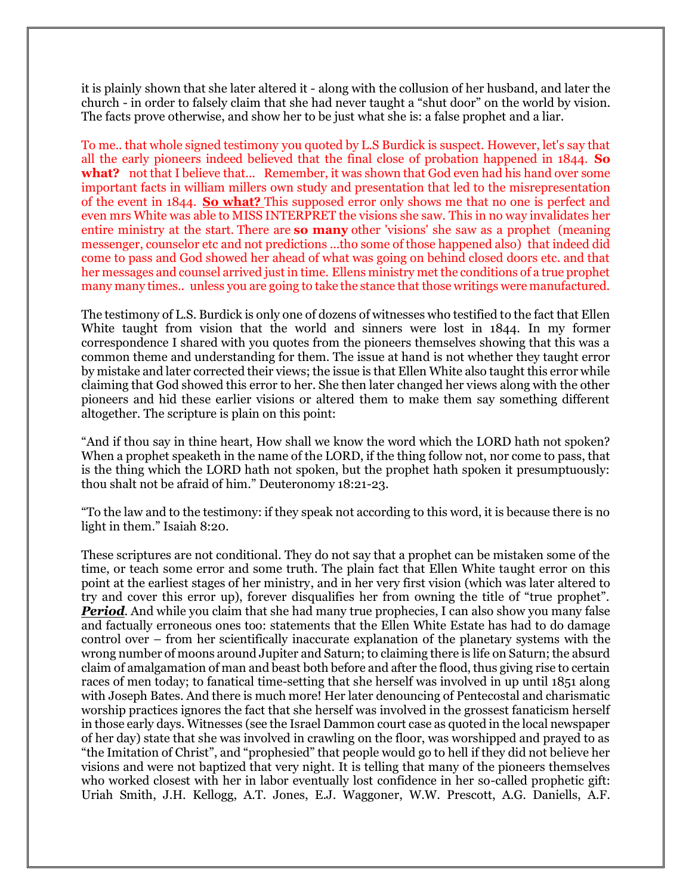it is plainly shown that she later altered it - along with the collusion of her husband, and later the church - in order to falsely claim that she had never taught a "shut door" on the world by vision. The facts prove otherwise, and show her to be just what she is: a false prophet and a liar.

To me.. that whole signed testimony you quoted by L.S Burdick is suspect. However, let's say that all the early pioneers indeed believed that the final close of probation happened in 1844. **So what?** not that I believe that... Remember, it was shown that God even had his hand over some important facts in william millers own study and presentation that led to the misrepresentation of the event in 1844. **So what?** This supposed error only shows me that no one is perfect and even mrs White was able to MISS INTERPRET the visions she saw. This in no way invalidates her entire ministry at the start. There are **so many** other 'visions' she saw as a prophet (meaning messenger, counselor etc and not predictions ...tho some of those happened also) that indeed did come to pass and God showed her ahead of what was going on behind closed doors etc. and that her messages and counsel arrived just in time. Ellens ministry met the conditions of a true prophet many many times.. unless you are going to take the stance that those writings were manufactured.

The testimony of L.S. Burdick is only one of dozens of witnesses who testified to the fact that Ellen White taught from vision that the world and sinners were lost in 1844. In my former correspondence I shared with you quotes from the pioneers themselves showing that this was a common theme and understanding for them. The issue at hand is not whether they taught error by mistake and later corrected their views; the issue is that Ellen White also taught this error while claiming that God showed this error to her. She then later changed her views along with the other pioneers and hid these earlier visions or altered them to make them say something different altogether. The scripture is plain on this point:

"And if thou say in thine heart, How shall we know the word which the LORD hath not spoken? When a prophet speaketh in the name of the LORD, if the thing follow not, nor come to pass, that is the thing which the LORD hath not spoken, but the prophet hath spoken it presumptuously: thou shalt not be afraid of him." Deuteronomy 18:21-23.

"To the law and to the testimony: if they speak not according to this word, it is because there is no light in them." Isaiah 8:20.

These scriptures are not conditional. They do not say that a prophet can be mistaken some of the time, or teach some error and some truth. The plain fact that Ellen White taught error on this point at the earliest stages of her ministry, and in her very first vision (which was later altered to try and cover this error up), forever disqualifies her from owning the title of "true prophet". *Period.* And while you claim that she had many true prophecies, I can also show you many false and factually erroneous ones too: statements that the Ellen White Estate has had to do damage control over – from her scientifically inaccurate explanation of the planetary systems with the wrong number of moons around Jupiter and Saturn; to claiming there is life on Saturn; the absurd claim of amalgamation of man and beast both before and after the flood, thus giving rise to certain races of men today; to fanatical time-setting that she herself was involved in up until 1851 along with Joseph Bates. And there is much more! Her later denouncing of Pentecostal and charismatic worship practices ignores the fact that she herself was involved in the grossest fanaticism herself in those early days. Witnesses (see the Israel Dammon court case as quoted in the local newspaper of her day) state that she was involved in crawling on the floor, was worshipped and prayed to as "the Imitation of Christ", and "prophesied" that people would go to hell if they did not believe her visions and were not baptized that very night. It is telling that many of the pioneers themselves who worked closest with her in labor eventually lost confidence in her so-called prophetic gift: Uriah Smith, J.H. Kellogg, A.T. Jones, E.J. Waggoner, W.W. Prescott, A.G. Daniells, A.F.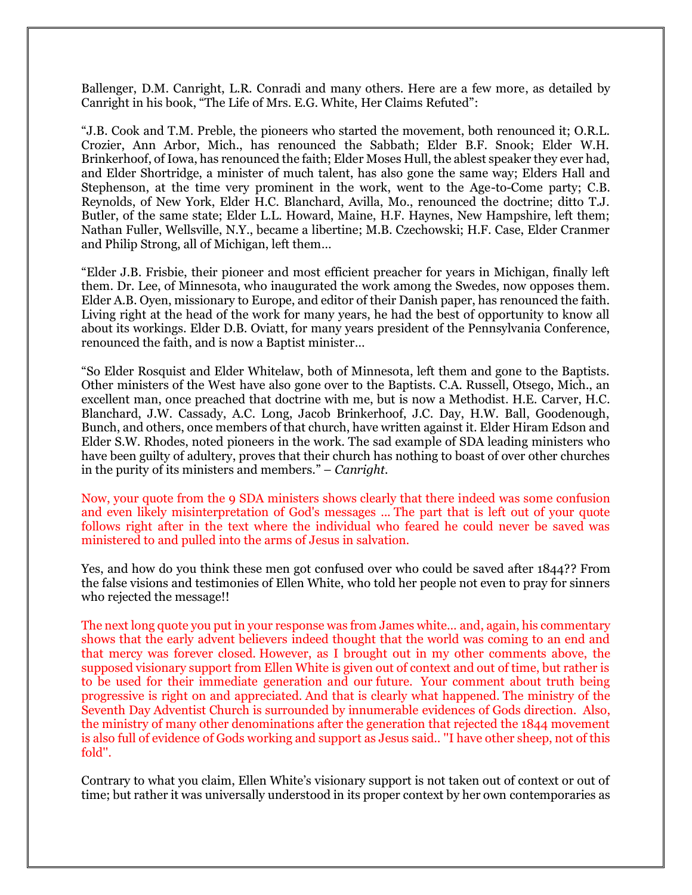Ballenger, D.M. Canright, L.R. Conradi and many others. Here are a few more, as detailed by Canright in his book, "The Life of Mrs. E.G. White, Her Claims Refuted":

"J.B. Cook and T.M. Preble, the pioneers who started the movement, both renounced it; O.R.L. Crozier, Ann Arbor, Mich., has renounced the Sabbath; Elder B.F. Snook; Elder W.H. Brinkerhoof, of Iowa, has renounced the faith; Elder Moses Hull, the ablest speaker they ever had, and Elder Shortridge, a minister of much talent, has also gone the same way; Elders Hall and Stephenson, at the time very prominent in the work, went to the Age-to-Come party; C.B. Reynolds, of New York, Elder H.C. Blanchard, Avilla, Mo., renounced the doctrine; ditto T.J. Butler, of the same state; Elder L.L. Howard, Maine, H.F. Haynes, New Hampshire, left them; Nathan Fuller, Wellsville, N.Y., became a libertine; M.B. Czechowski; H.F. Case, Elder Cranmer and Philip Strong, all of Michigan, left them…

"Elder J.B. Frisbie, their pioneer and most efficient preacher for years in Michigan, finally left them. Dr. Lee, of Minnesota, who inaugurated the work among the Swedes, now opposes them. Elder A.B. Oyen, missionary to Europe, and editor of their Danish paper, has renounced the faith. Living right at the head of the work for many years, he had the best of opportunity to know all about its workings. Elder D.B. Oviatt, for many years president of the Pennsylvania Conference, renounced the faith, and is now a Baptist minister…

"So Elder Rosquist and Elder Whitelaw, both of Minnesota, left them and gone to the Baptists. Other ministers of the West have also gone over to the Baptists. C.A. Russell, Otsego, Mich., an excellent man, once preached that doctrine with me, but is now a Methodist. H.E. Carver, H.C. Blanchard, J.W. Cassady, A.C. Long, Jacob Brinkerhoof, J.C. Day, H.W. Ball, Goodenough, Bunch, and others, once members of that church, have written against it. Elder Hiram Edson and Elder S.W. Rhodes, noted pioneers in the work. The sad example of SDA leading ministers who have been guilty of adultery, proves that their church has nothing to boast of over other churches in the purity of its ministers and members." – *Canright.*

Now, your quote from the 9 SDA ministers shows clearly that there indeed was some confusion and even likely misinterpretation of God's messages ... The part that is left out of your quote follows right after in the text where the individual who feared he could never be saved was ministered to and pulled into the arms of Jesus in salvation.

Yes, and how do you think these men got confused over who could be saved after 1844?? From the false visions and testimonies of Ellen White, who told her people not even to pray for sinners who rejected the message!!

The next long quote you put in your response was from James white... and, again, his commentary shows that the early advent believers indeed thought that the world was coming to an end and that mercy was forever closed. However, as I brought out in my other comments above, the supposed visionary support from Ellen White is given out of context and out of time, but rather is to be used for their immediate generation and our future. Your comment about truth being progressive is right on and appreciated. And that is clearly what happened. The ministry of the Seventh Day Adventist Church is surrounded by innumerable evidences of Gods direction. Also, the ministry of many other denominations after the generation that rejected the 1844 movement is also full of evidence of Gods working and support as Jesus said.. ''I have other sheep, not of this fold''.

Contrary to what you claim, Ellen White's visionary support is not taken out of context or out of time; but rather it was universally understood in its proper context by her own contemporaries as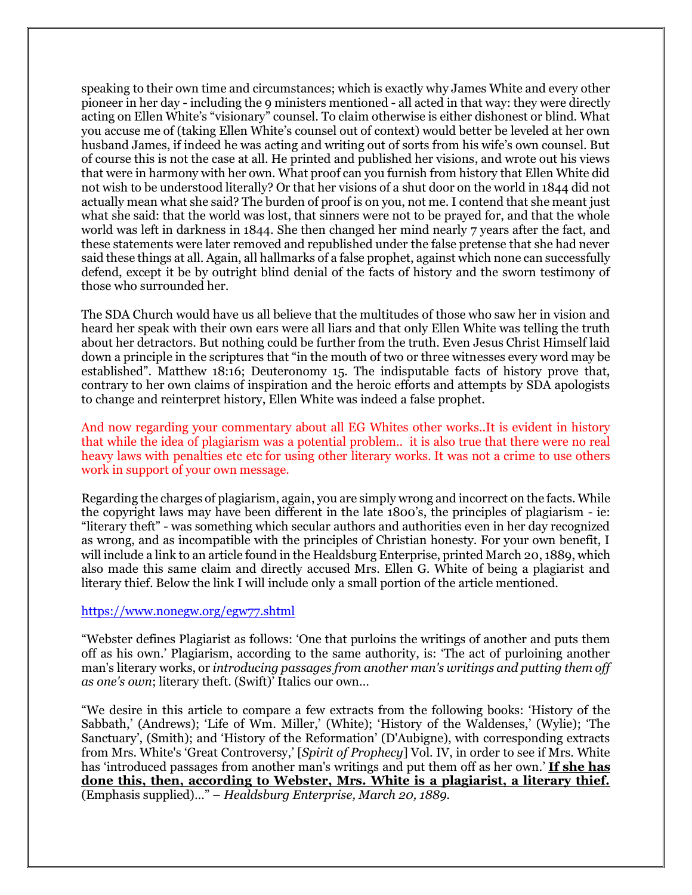speaking to their own time and circumstances; which is exactly why James White and every other pioneer in her day - including the 9 ministers mentioned - all acted in that way: they were directly acting on Ellen White's "visionary" counsel. To claim otherwise is either dishonest or blind. What you accuse me of (taking Ellen White's counsel out of context) would better be leveled at her own husband James, if indeed he was acting and writing out of sorts from his wife's own counsel. But of course this is not the case at all. He printed and published her visions, and wrote out his views that were in harmony with her own. What proof can you furnish from history that Ellen White did not wish to be understood literally? Or that her visions of a shut door on the world in 1844 did not actually mean what she said? The burden of proof is on you, not me. I contend that she meant just what she said: that the world was lost, that sinners were not to be prayed for, and that the whole world was left in darkness in 1844. She then changed her mind nearly 7 years after the fact, and these statements were later removed and republished under the false pretense that she had never said these things at all. Again, all hallmarks of a false prophet, against which none can successfully defend, except it be by outright blind denial of the facts of history and the sworn testimony of those who surrounded her.

The SDA Church would have us all believe that the multitudes of those who saw her in vision and heard her speak with their own ears were all liars and that only Ellen White was telling the truth about her detractors. But nothing could be further from the truth. Even Jesus Christ Himself laid down a principle in the scriptures that "in the mouth of two or three witnesses every word may be established". Matthew 18:16; Deuteronomy 15. The indisputable facts of history prove that, contrary to her own claims of inspiration and the heroic efforts and attempts by SDA apologists to change and reinterpret history, Ellen White was indeed a false prophet.

And now regarding your commentary about all EG Whites other works..It is evident in history that while the idea of plagiarism was a potential problem.. it is also true that there were no real heavy laws with penalties etc etc for using other literary works. It was not a crime to use others work in support of your own message.

Regarding the charges of plagiarism, again, you are simply wrong and incorrect on the facts. While the copyright laws may have been different in the late 1800's, the principles of plagiarism - ie: "literary theft" - was something which secular authors and authorities even in her day recognized as wrong, and as incompatible with the principles of Christian honesty. For your own benefit, I will include a link to an article found in the Healdsburg Enterprise, printed March 20, 1889, which also made this same claim and directly accused Mrs. Ellen G. White of being a plagiarist and literary thief. Below the link I will include only a small portion of the article mentioned.

#### <https://www.nonegw.org/egw77.shtml>

"Webster defines Plagiarist as follows: 'One that purloins the writings of another and puts them off as his own.' Plagiarism, according to the same authority, is: 'The act of purloining another man's literary works, or *introducing passages from another man's writings and putting them off as one's own*; literary theft. (Swift)' Italics our own…

"We desire in this article to compare a few extracts from the following books: 'History of the Sabbath,' (Andrews); 'Life of Wm. Miller,' (White); 'History of the Waldenses,' (Wylie); 'The Sanctuary', (Smith); and 'History of the Reformation' (D'Aubigne), with corresponding extracts from Mrs. White's 'Great Controversy,' [*Spirit of Prophecy*] Vol. IV, in order to see if Mrs. White has 'introduced passages from another man's writings and put them off as her own.' **If she has done this, then, according to Webster, Mrs. White is a plagiarist, a literary thief.** (Emphasis supplied)…" – *Healdsburg Enterprise, March 20, 1889.*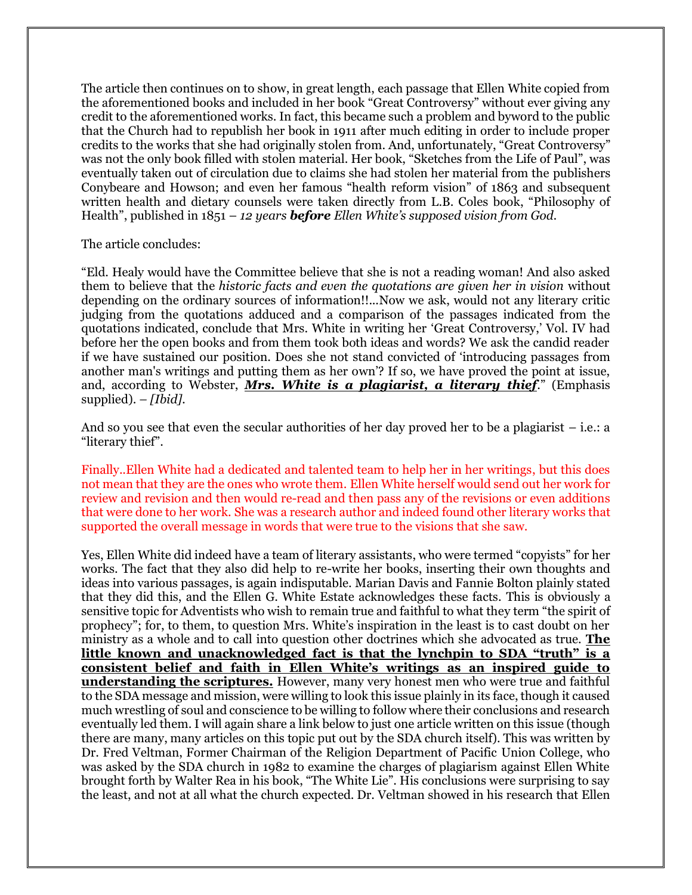The article then continues on to show, in great length, each passage that Ellen White copied from the aforementioned books and included in her book "Great Controversy" without ever giving any credit to the aforementioned works. In fact, this became such a problem and byword to the public that the Church had to republish her book in 1911 after much editing in order to include proper credits to the works that she had originally stolen from. And, unfortunately, "Great Controversy" was not the only book filled with stolen material. Her book, "Sketches from the Life of Paul", was eventually taken out of circulation due to claims she had stolen her material from the publishers Conybeare and Howson; and even her famous "health reform vision" of 1863 and subsequent written health and dietary counsels were taken directly from L.B. Coles book, "Philosophy of Health", published in 1851 – *12 years before Ellen White's supposed vision from God.*

The article concludes:

"Eld. Healy would have the Committee believe that she is not a reading woman! And also asked them to believe that the *historic facts and even the quotations are given her in vision* without depending on the ordinary sources of information!!...Now we ask, would not any literary critic judging from the quotations adduced and a comparison of the passages indicated from the quotations indicated, conclude that Mrs. White in writing her 'Great Controversy,' Vol. IV had before her the open books and from them took both ideas and words? We ask the candid reader if we have sustained our position. Does she not stand convicted of 'introducing passages from another man's writings and putting them as her own'? If so, we have proved the point at issue, and, according to Webster, *Mrs. White is a plagiarist, a literary thief*." (Emphasis supplied). *– [Ibid].*

And so you see that even the secular authorities of her day proved her to be a plagiarist – i.e.: a "literary thief".

Finally..Ellen White had a dedicated and talented team to help her in her writings, but this does not mean that they are the ones who wrote them. Ellen White herself would send out her work for review and revision and then would re-read and then pass any of the revisions or even additions that were done to her work. She was a research author and indeed found other literary works that supported the overall message in words that were true to the visions that she saw.

Yes, Ellen White did indeed have a team of literary assistants, who were termed "copyists" for her works. The fact that they also did help to re-write her books, inserting their own thoughts and ideas into various passages, is again indisputable. Marian Davis and Fannie Bolton plainly stated that they did this, and the Ellen G. White Estate acknowledges these facts. This is obviously a sensitive topic for Adventists who wish to remain true and faithful to what they term "the spirit of prophecy"; for, to them, to question Mrs. White's inspiration in the least is to cast doubt on her ministry as a whole and to call into question other doctrines which she advocated as true. **The little known and unacknowledged fact is that the lynchpin to SDA "truth" is a consistent belief and faith in Ellen White's writings as an inspired guide to understanding the scriptures.** However, many very honest men who were true and faithful to the SDA message and mission, were willing to look this issue plainly in its face, though it caused much wrestling of soul and conscience to be willing to follow where their conclusions and research eventually led them. I will again share a link below to just one article written on this issue (though there are many, many articles on this topic put out by the SDA church itself). This was written by Dr. Fred Veltman, Former Chairman of the Religion Department of Pacific Union College, who was asked by the SDA church in 1982 to examine the charges of plagiarism against Ellen White brought forth by Walter Rea in his book, "The White Lie". His conclusions were surprising to say the least, and not at all what the church expected. Dr. Veltman showed in his research that Ellen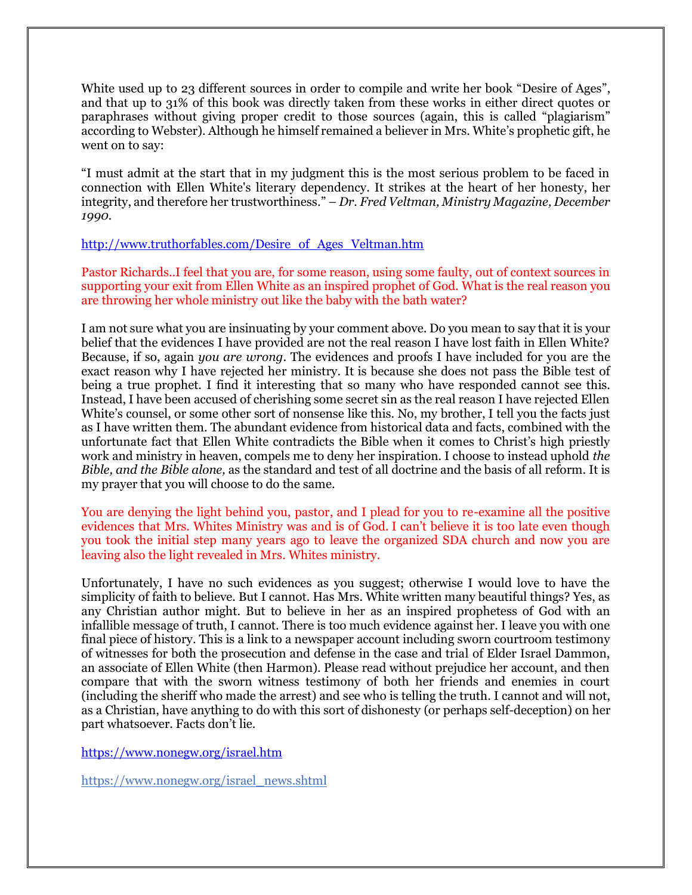White used up to 23 different sources in order to compile and write her book "Desire of Ages", and that up to 31% of this book was directly taken from these works in either direct quotes or paraphrases without giving proper credit to those sources (again, this is called "plagiarism" according to Webster). Although he himself remained a believer in Mrs. White's prophetic gift, he went on to say:

"I must admit at the start that in my judgment this is the most serious problem to be faced in connection with Ellen White's literary dependency. It strikes at the heart of her honesty, her integrity, and therefore her trustworthiness." *– Dr. Fred Veltman, Ministry Magazine, December 1990.*

### [http://www.truthorfables.com/Desire\\_of\\_Ages\\_Veltman.htm](http://www.truthorfables.com/Desire_of_Ages_Veltman.htm)

Pastor Richards..I feel that you are, for some reason, using some faulty, out of context sources in supporting your exit from Ellen White as an inspired prophet of God. What is the real reason you are throwing her whole ministry out like the baby with the bath water?

I am not sure what you are insinuating by your comment above. Do you mean to say that it is your belief that the evidences I have provided are not the real reason I have lost faith in Ellen White? Because, if so, again *you are wrong*. The evidences and proofs I have included for you are the exact reason why I have rejected her ministry. It is because she does not pass the Bible test of being a true prophet. I find it interesting that so many who have responded cannot see this. Instead, I have been accused of cherishing some secret sin as the real reason I have rejected Ellen White's counsel, or some other sort of nonsense like this. No, my brother, I tell you the facts just as I have written them. The abundant evidence from historical data and facts, combined with the unfortunate fact that Ellen White contradicts the Bible when it comes to Christ's high priestly work and ministry in heaven, compels me to deny her inspiration. I choose to instead uphold *the Bible, and the Bible alone,* as the standard and test of all doctrine and the basis of all reform. It is my prayer that you will choose to do the same.

You are denying the light behind you, pastor, and I plead for you to re-examine all the positive evidences that Mrs. Whites Ministry was and is of God. I can't believe it is too late even though you took the initial step many years ago to leave the organized SDA church and now you are leaving also the light revealed in Mrs. Whites ministry.

Unfortunately, I have no such evidences as you suggest; otherwise I would love to have the simplicity of faith to believe. But I cannot. Has Mrs. White written many beautiful things? Yes, as any Christian author might. But to believe in her as an inspired prophetess of God with an infallible message of truth, I cannot. There is too much evidence against her. I leave you with one final piece of history. This is a link to a newspaper account including sworn courtroom testimony of witnesses for both the prosecution and defense in the case and trial of Elder Israel Dammon, an associate of Ellen White (then Harmon). Please read without prejudice her account, and then compare that with the sworn witness testimony of both her friends and enemies in court (including the sheriff who made the arrest) and see who is telling the truth. I cannot and will not, as a Christian, have anything to do with this sort of dishonesty (or perhaps self-deception) on her part whatsoever. Facts don't lie.

<https://www.nonegw.org/israel.htm>

[https://www.nonegw.org/israel\\_news.shtml](https://www.nonegw.org/israel_news.shtml)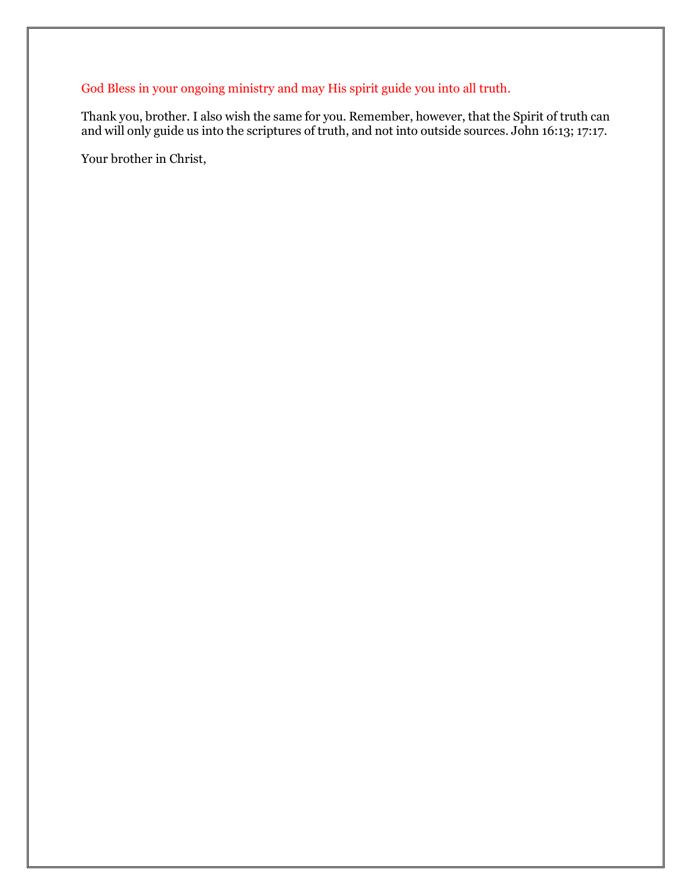### God Bless in your ongoing ministry and may His spirit guide you into all truth.

Thank you, brother. I also wish the same for you. Remember, however, that the Spirit of truth can and will only guide us into the scriptures of truth, and not into outside sources. John 16:13; 17:17.

Your brother in Christ,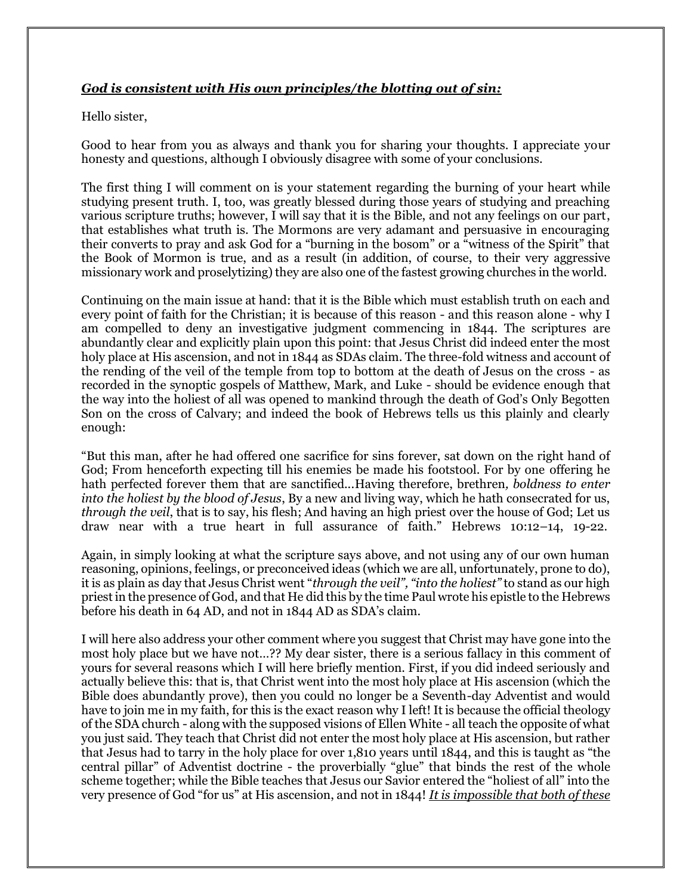# *God is consistent with His own principles/the blotting out of sin:*

Hello sister,

Good to hear from you as always and thank you for sharing your thoughts. I appreciate your honesty and questions, although I obviously disagree with some of your conclusions.

The first thing I will comment on is your statement regarding the burning of your heart while studying present truth. I, too, was greatly blessed during those years of studying and preaching various scripture truths; however, I will say that it is the Bible, and not any feelings on our part, that establishes what truth is. The Mormons are very adamant and persuasive in encouraging their converts to pray and ask God for a "burning in the bosom" or a "witness of the Spirit" that the Book of Mormon is true, and as a result (in addition, of course, to their very aggressive missionary work and proselytizing) they are also one of the fastest growing churches in the world.

Continuing on the main issue at hand: that it is the Bible which must establish truth on each and every point of faith for the Christian; it is because of this reason - and this reason alone - why I am compelled to deny an investigative judgment commencing in 1844. The scriptures are abundantly clear and explicitly plain upon this point: that Jesus Christ did indeed enter the most holy place at His ascension, and not in 1844 as SDAs claim. The three-fold witness and account of the rending of the veil of the temple from top to bottom at the death of Jesus on the cross - as recorded in the synoptic gospels of Matthew, Mark, and Luke - should be evidence enough that the way into the holiest of all was opened to mankind through the death of God's Only Begotten Son on the cross of Calvary; and indeed the book of Hebrews tells us this plainly and clearly enough:

"But this man, after he had offered one sacrifice for sins forever, sat down on the right hand of God; From henceforth expecting till his enemies be made his footstool. For by one offering he hath perfected forever them that are sanctified...Having therefore, brethren*, boldness to enter into the holiest by the blood of Jesus*, By a new and living way, which he hath consecrated for us, *through the veil*, that is to say, his flesh; And having an high priest over the house of God; Let us draw near with a true heart in full assurance of faith." Hebrews 10:12–14, 19-22.

Again, in simply looking at what the scripture says above, and not using any of our own human reasoning, opinions, feelings, or preconceived ideas (which we are all, unfortunately, prone to do), it is as plain as day that Jesus Christ went "*through the veil","into the holiest"* to stand as our high priest in the presence of God, and that He did this by the time Paul wrote his epistle to the Hebrews before his death in 64 AD, and not in 1844 AD as SDA's claim.

I will here also address your other comment where you suggest that Christ may have gone into the most holy place but we have not…?? My dear sister, there is a serious fallacy in this comment of yours for several reasons which I will here briefly mention. First, if you did indeed seriously and actually believe this: that is, that Christ went into the most holy place at His ascension (which the Bible does abundantly prove), then you could no longer be a Seventh-day Adventist and would have to join me in my faith, for this is the exact reason why I left! It is because the official theology of the SDA church - along with the supposed visions of Ellen White - all teach the opposite of what you just said. They teach that Christ did not enter the most holy place at His ascension, but rather that Jesus had to tarry in the holy place for over 1,810 years until 1844, and this is taught as "the central pillar" of Adventist doctrine - the proverbially "glue" that binds the rest of the whole scheme together; while the Bible teaches that Jesus our Savior entered the "holiest of all" into the very presence of God "for us" at His ascension, and not in 1844! *It is impossible that both of these*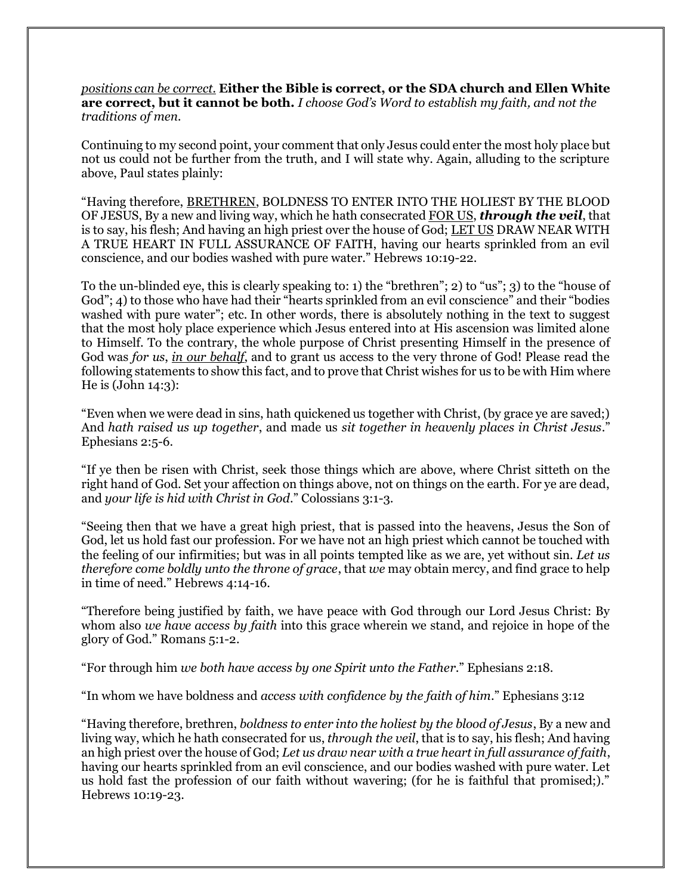*positions can be correct.* **Either the Bible is correct, or the SDA church and Ellen White are correct, but it cannot be both.** *I choose God's Word to establish my faith, and not the traditions of men.*

Continuing to my second point, your comment that only Jesus could enter the most holy place but not us could not be further from the truth, and I will state why. Again, alluding to the scripture above, Paul states plainly:

"Having therefore, BRETHREN, BOLDNESS TO ENTER INTO THE HOLIEST BY THE BLOOD OF JESUS, By a new and living way, which he hath consecrated FOR US, *through the veil*, that is to say, his flesh; And having an high priest over the house of God; LET US DRAW NEAR WITH A TRUE HEART IN FULL ASSURANCE OF FAITH, having our hearts sprinkled from an evil conscience, and our bodies washed with pure water." Hebrews [10:19-22.](x-apple-data-detectors://1/)

To the un-blinded eye, this is clearly speaking to: 1) the "brethren"; 2) to "us"; 3) to the "house of God"; 4) to those who have had their "hearts sprinkled from an evil conscience" and their "bodies washed with pure water"; etc. In other words, there is absolutely nothing in the text to suggest that the most holy place experience which Jesus entered into at His ascension was limited alone to Himself. To the contrary, the whole purpose of Christ presenting Himself in the presence of God was *for us*, *in our behalf*, and to grant us access to the very throne of God! Please read the following statements to show this fact, and to prove that Christ wishes for us to be with Him where He is (John 14:3):

"Even when we were dead in sins, hath quickened us together with Christ, (by grace ye are saved;) And *hath raised us up together*, and made us *sit together in heavenly places in Christ Jesus*." Ephesians 2:5-6.

"If ye then be risen with Christ, seek those things which are above, where Christ sitteth on the right hand of God. Set your affection on things above, not on things on the earth. For ye are dead, and *your life is hid with Christ in God*." Colossians 3:1-3.

"Seeing then that we have a great high priest, that is passed into the heavens, Jesus the Son of God, let us hold fast our profession. For we have not an high priest which cannot be touched with the feeling of our infirmities; but was in all points tempted like as we are, yet without sin. *Let us therefore come boldly unto the throne of grace*, that *we* may obtain mercy, and find grace to help in time of need." Hebrews [4:14-16.](x-apple-data-detectors://4/)

"Therefore being justified by faith, we have peace with God through our Lord Jesus Christ: By whom also *we have access by faith* into this grace wherein we stand, and rejoice in hope of the glory of God." Romans 5:1-2.

"For through him *we both have access by one Spirit unto the Father*." Ephesians 2:18.

"In whom we have boldness and *access with confidence by the faith of him*." Ephesians 3:12

"Having therefore, brethren, *boldness to enter into the holiest by the blood of Jesus*, By a new and living way, which he hath consecrated for us, *through the veil*, that is to say, his flesh; And having an high priest over the house of God; *Let us draw near with a true heart in full assurance of faith*, having our hearts sprinkled from an evil conscience, and our bodies washed with pure water. Let us hold fast the profession of our faith without wavering; (for he is faithful that promised;)." Hebrews [10:19-23.](x-apple-data-detectors://8/)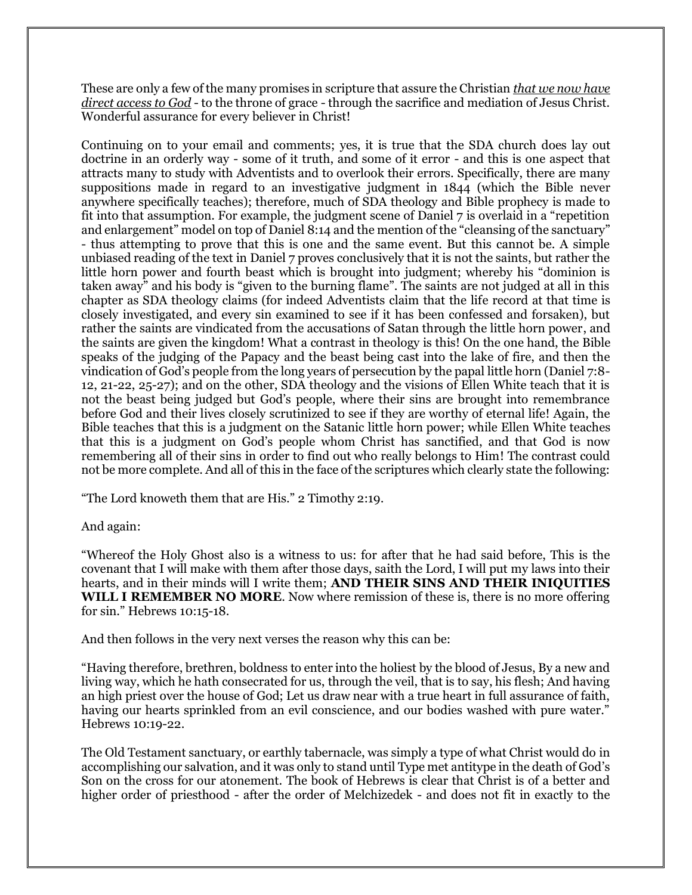These are only a few of the many promises in scripture that assure the Christian *that we now have direct access to God* - to the throne of grace - through the sacrifice and mediation of Jesus Christ. Wonderful assurance for every believer in Christ!

Continuing on to your email and comments; yes, it is true that the SDA church does lay out doctrine in an orderly way - some of it truth, and some of it error - and this is one aspect that attracts many to study with Adventists and to overlook their errors. Specifically, there are many suppositions made in regard to an investigative judgment in 1844 (which the Bible never anywhere specifically teaches); therefore, much of SDA theology and Bible prophecy is made to fit into that assumption. For example, the judgment scene of Daniel  $\tau$  is overlaid in a "repetition" and enlargement" model on top of Daniel 8:14 and the mention of the "cleansing of the sanctuary" - thus attempting to prove that this is one and the same event. But this cannot be. A simple unbiased reading of the text in Daniel 7 proves conclusively that it is not the saints, but rather the little horn power and fourth beast which is brought into judgment; whereby his "dominion is taken away" and his body is "given to the burning flame". The saints are not judged at all in this chapter as SDA theology claims (for indeed Adventists claim that the life record at that time is closely investigated, and every sin examined to see if it has been confessed and forsaken), but rather the saints are vindicated from the accusations of Satan through the little horn power, and the saints are given the kingdom! What a contrast in theology is this! On the one hand, the Bible speaks of the judging of the Papacy and the beast being cast into the lake of fire, and then the vindication of God's people from the long years of persecution by the papal little horn (Daniel 7:8- 12, 21-22, 25-27); and on the other, SDA theology and the visions of Ellen White teach that it is not the beast being judged but God's people, where their sins are brought into remembrance before God and their lives closely scrutinized to see if they are worthy of eternal life! Again, the Bible teaches that this is a judgment on the Satanic little horn power; while Ellen White teaches that this is a judgment on God's people whom Christ has sanctified, and that God is now remembering all of their sins in order to find out who really belongs to Him! The contrast could not be more complete. And all of this in the face of the scriptures which clearly state the following:

"The Lord knoweth them that are His." 2 Timothy 2:19.

And again:

"Whereof the Holy Ghost also is a witness to us: for after that he had said before, This is the covenant that I will make with them after those days, saith the Lord, I will put my laws into their hearts, and in their minds will I write them; **AND THEIR SINS AND THEIR INIQUITIES WILL I REMEMBER NO MORE.** Now where remission of these is, there is no more offering for sin." Hebrews [10:15-18.](x-apple-data-detectors://9/)

And then follows in the very next verses the reason why this can be:

"Having therefore, brethren, boldness to enter into the holiest by the blood of Jesus, By a new and living way, which he hath consecrated for us, through the veil, that is to say, his flesh; And having an high priest over the house of God; Let us draw near with a true heart in full assurance of faith, having our hearts sprinkled from an evil conscience, and our bodies washed with pure water." Hebrews [10:19-22.](x-apple-data-detectors://10/)

The Old Testament sanctuary, or earthly tabernacle, was simply a type of what Christ would do in accomplishing our salvation, and it was only to stand until Type met antitype in the death of God's Son on the cross for our atonement. The book of Hebrews is clear that Christ is of a better and higher order of priesthood - after the order of Melchizedek - and does not fit in exactly to the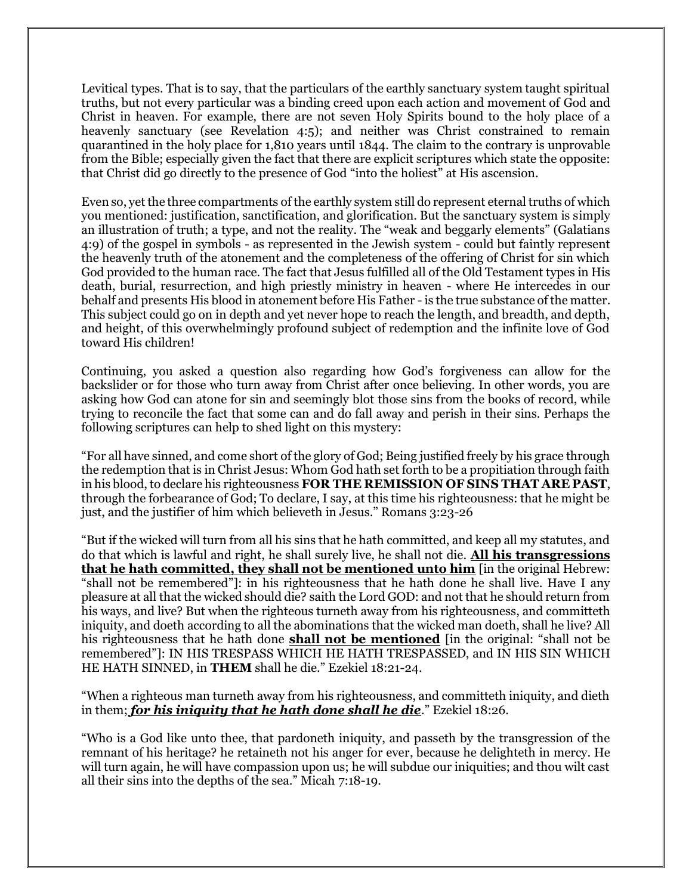Levitical types. That is to say, that the particulars of the earthly sanctuary system taught spiritual truths, but not every particular was a binding creed upon each action and movement of God and Christ in heaven. For example, there are not seven Holy Spirits bound to the holy place of a heavenly sanctuary (see Revelation 4:5); and neither was Christ constrained to remain quarantined in the holy place for 1,810 years until 1844. The claim to the contrary is unprovable from the Bible; especially given the fact that there are explicit scriptures which state the opposite: that Christ did go directly to the presence of God "into the holiest" at His ascension.

Even so, yet the three compartments of the earthly system still do represent eternal truths of which you mentioned: justification, sanctification, and glorification. But the sanctuary system is simply an illustration of truth; a type, and not the reality. The "weak and beggarly elements" (Galatians 4:9) of the gospel in symbols - as represented in the Jewish system - could but faintly represent the heavenly truth of the atonement and the completeness of the offering of Christ for sin which God provided to the human race. The fact that Jesus fulfilled all of the Old Testament types in His death, burial, resurrection, and high priestly ministry in heaven - where He intercedes in our behalf and presents His blood in atonement before His Father - is the true substance of the matter. This subject could go on in depth and yet never hope to reach the length, and breadth, and depth, and height, of this overwhelmingly profound subject of redemption and the infinite love of God toward His children!

Continuing, you asked a question also regarding how God's forgiveness can allow for the backslider or for those who turn away from Christ after once believing. In other words, you are asking how God can atone for sin and seemingly blot those sins from the books of record, while trying to reconcile the fact that some can and do fall away and perish in their sins. Perhaps the following scriptures can help to shed light on this mystery:

"For all have sinned, and come short of the glory of God; Being justified freely by his grace through the redemption that is in Christ Jesus: Whom God hath set forth to be a propitiation through faith in his blood, to declare his righteousness **FOR THE REMISSION OF SINS THAT ARE PAST**, through the forbearance of God; To declare, I say, at this time his righteousness: that he might be just, and the justifier of him which believeth in Jesus." Romans 3:23-26

"But if the wicked will turn from all his sins that he hath committed, and keep all my statutes, and do that which is lawful and right, he shall surely live, he shall not die. **All his transgressions that he hath committed, they shall not be mentioned unto him** [in the original Hebrew: "shall not be remembered"]: in his righteousness that he hath done he shall live. Have I any pleasure at all that the wicked should die? saith the Lord GOD: and not that he should return from his ways, and live? But when the righteous turneth away from his righteousness, and committeth iniquity, and doeth according to all the abominations that the wicked man doeth, shall he live? All his righteousness that he hath done **shall not be mentioned** [in the original: "shall not be remembered"]: IN HIS TRESPASS WHICH HE HATH TRESPASSED, and IN HIS SIN WHICH HE HATH SINNED, in **THEM** shall he die." Ezekiel 18:21-24.

"When a righteous man turneth away from his righteousness, and committeth iniquity, and dieth in them; *for his iniquity that he hath done shall he die*." Ezekiel 18:26.

"Who is a God like unto thee, that pardoneth iniquity, and passeth by the transgression of the remnant of his heritage? he retaineth not his anger for ever, because he delighteth in mercy. He will turn again, he will have compassion upon us; he will subdue our iniquities; and thou wilt cast all their sins into the depths of the sea." Micah [7:18-19.](x-apple-data-detectors://11/)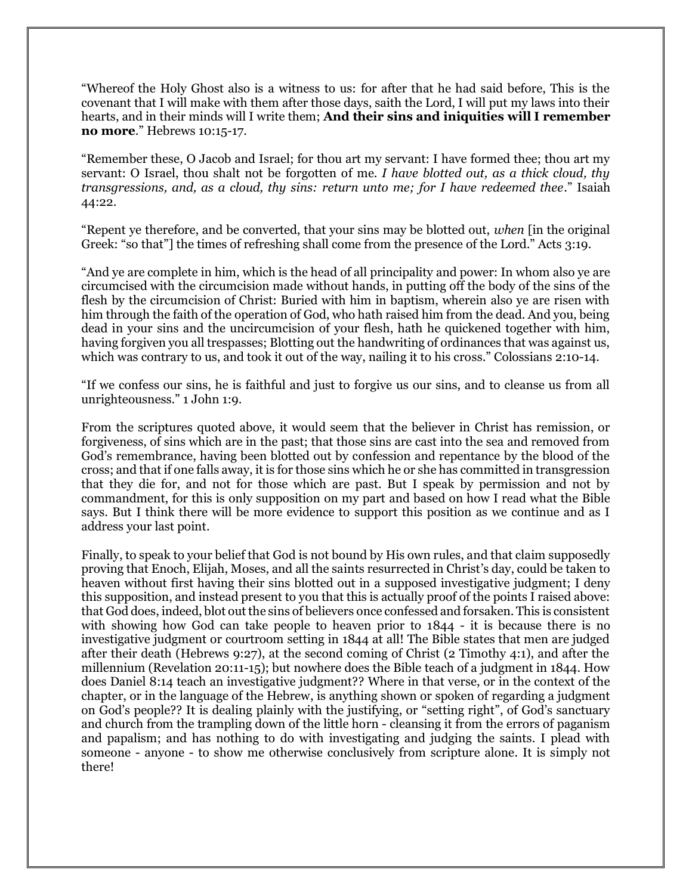"Whereof the Holy Ghost also is a witness to us: for after that he had said before, This is the covenant that I will make with them after those days, saith the Lord, I will put my laws into their hearts, and in their minds will I write them; **And their sins and iniquities will I remember no more**." Hebrews [10:15-17.](x-apple-data-detectors://12/)

"Remember these, O Jacob and Israel; for thou art my servant: I have formed thee; thou art my servant: O Israel, thou shalt not be forgotten of me. *I have blotted out, as a thick cloud, thy transgressions, and, as a cloud, thy sins: return unto me; for I have redeemed thee*." Isaiah 44:22.

"Repent ye therefore, and be converted, that your sins may be blotted out, *when* [in the original Greek: "so that"] the times of refreshing shall come from the presence of the Lord." Acts [3:19.](x-apple-data-detectors://13/)

"And ye are complete in him, which is the head of all principality and power: In whom also ye are circumcised with the circumcision made without hands, in putting off the body of the sins of the flesh by the circumcision of Christ: Buried with him in baptism, wherein also ye are risen with him through the faith of the operation of God, who hath raised him from the dead. And you, being dead in your sins and the uncircumcision of your flesh, hath he quickened together with him, having forgiven you all trespasses; Blotting out the handwriting of ordinances that was against us, which was contrary to us, and took it out of the way, nailing it to his cross." Colossians [2:10-14.](x-apple-data-detectors://14/)

"If we confess our sins, he is faithful and just to forgive us our sins, and to cleanse us from all unrighteousness." 1 John 1:9.

From the scriptures quoted above, it would seem that the believer in Christ has remission, or forgiveness, of sins which are in the past; that those sins are cast into the sea and removed from God's remembrance, having been blotted out by confession and repentance by the blood of the cross; and that if one falls away, it is for those sins which he or she has committed in transgression that they die for, and not for those which are past. But I speak by permission and not by commandment, for this is only supposition on my part and based on how I read what the Bible says. But I think there will be more evidence to support this position as we continue and as I address your last point.

Finally, to speak to your belief that God is not bound by His own rules, and that claim supposedly proving that Enoch, Elijah, Moses, and all the saints resurrected in Christ's day, could be taken to heaven without first having their sins blotted out in a supposed investigative judgment; I deny this supposition, and instead present to you that this is actually proof of the points I raised above: that God does, indeed, blot out the sins of believers once confessed and forsaken. This is consistent with showing how God can take people to heaven prior to 1844 - it is because there is no investigative judgment or courtroom setting in 1844 at all! The Bible states that men are judged after their death (Hebrews 9:27), at the second coming of Christ (2 Timothy 4:1), and after the millennium (Revelation [20:11-15\)](x-apple-data-detectors://16/); but nowhere does the Bible teach of a judgment in 1844. How does Daniel 8:14 teach an investigative judgment?? Where in that verse, or in the context of the chapter, or in the language of the Hebrew, is anything shown or spoken of regarding a judgment on God's people?? It is dealing plainly with the justifying, or "setting right", of God's sanctuary and church from the trampling down of the little horn - cleansing it from the errors of paganism and papalism; and has nothing to do with investigating and judging the saints. I plead with someone - anyone - to show me otherwise conclusively from scripture alone. It is simply not there!